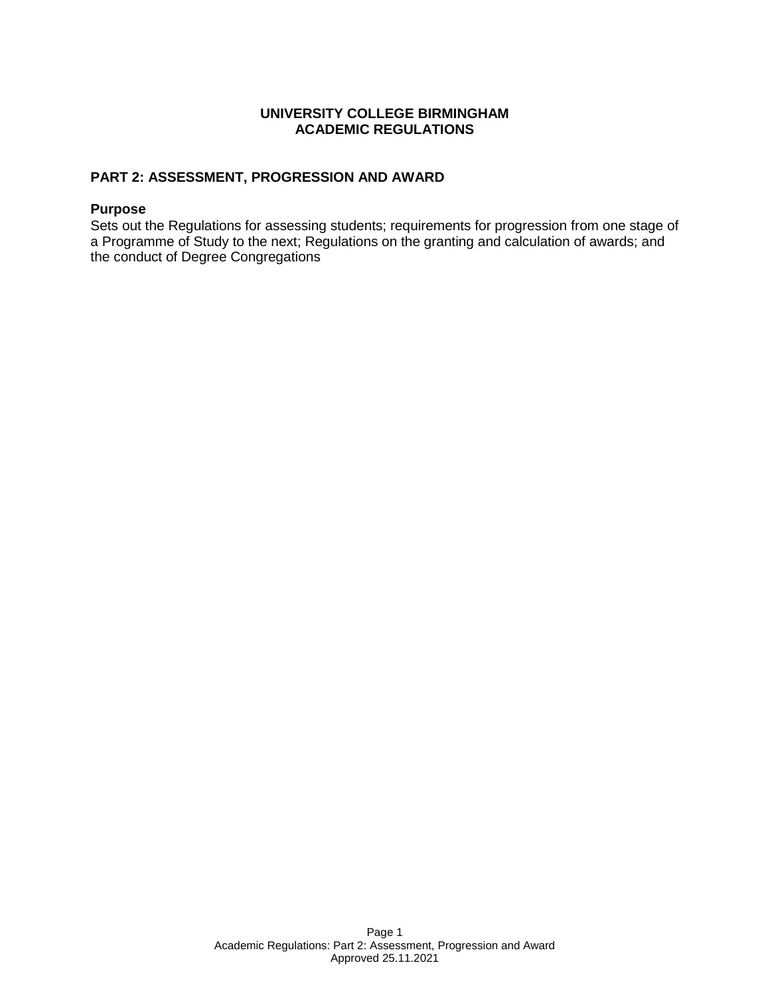### **UNIVERSITY COLLEGE BIRMINGHAM ACADEMIC REGULATIONS**

# **PART 2: ASSESSMENT, PROGRESSION AND AWARD**

#### **Purpose**

Sets out the Regulations for assessing students; requirements for progression from one stage of a Programme of Study to the next; Regulations on the granting and calculation of awards; and the conduct of Degree Congregations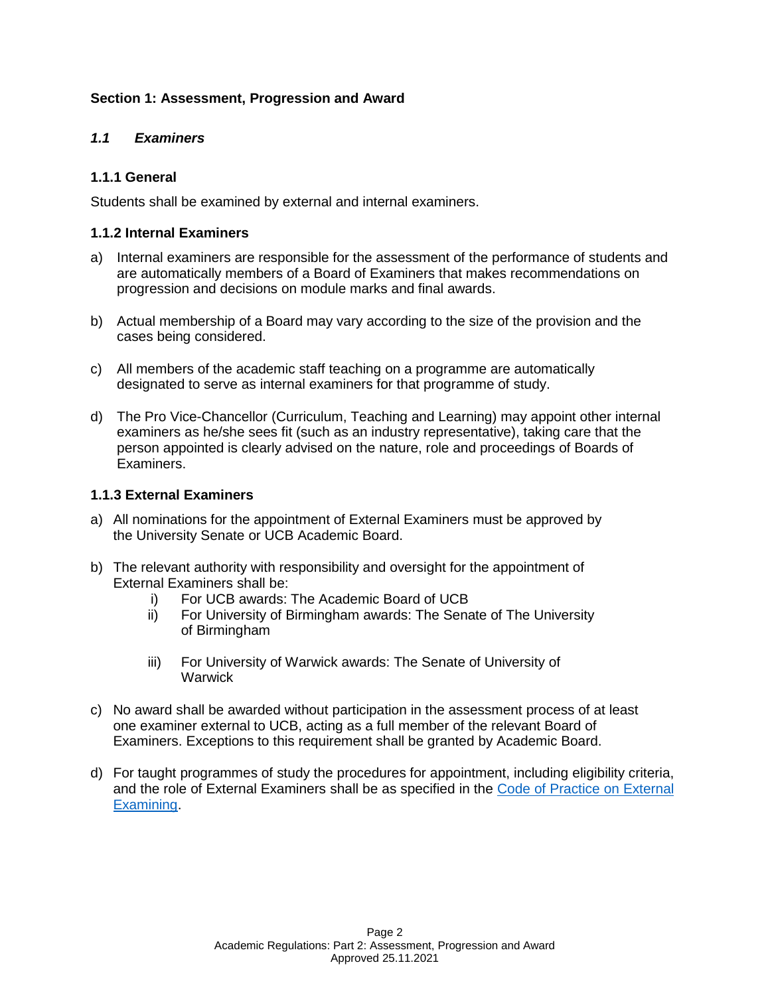# **Section 1: Assessment, Progression and Award**

### *1.1 Examiners*

# **1.1.1 General**

Students shall be examined by external and internal examiners.

### **1.1.2 Internal Examiners**

- a) Internal examiners are responsible for the assessment of the performance of students and are automatically members of a Board of Examiners that makes recommendations on progression and decisions on module marks and final awards.
- b) Actual membership of a Board may vary according to the size of the provision and the cases being considered.
- c) All members of the academic staff teaching on a programme are automatically designated to serve as internal examiners for that programme of study.
- d) The Pro Vice-Chancellor (Curriculum, Teaching and Learning) may appoint other internal examiners as he/she sees fit (such as an industry representative), taking care that the person appointed is clearly advised on the nature, role and proceedings of Boards of Examiners.

### **1.1.3 External Examiners**

- a) All nominations for the appointment of External Examiners must be approved by the University Senate or UCB Academic Board.
- b) The relevant authority with responsibility and oversight for the appointment of External Examiners shall be:
	- i) For UCB awards: The Academic Board of UCB
	- ii) For University of Birmingham awards: The Senate of The University of Birmingham
	- iii) For University of Warwick awards: The Senate of University of **Warwick**
- c) No award shall be awarded without participation in the assessment process of at least one examiner external to UCB, acting as a full member of the relevant Board of Examiners. Exceptions to this requirement shall be granted by Academic Board.
- d) For taught programmes of study the procedures for appointment, including eligibility criteria, and the role of External Examiners shall be as specified in the [Code of Practice on External](https://www.ucb.ac.uk/media/d2jjms3m/ucb-external-examiner-code-of-practice.pdf)  [Examining.](https://www.ucb.ac.uk/media/d2jjms3m/ucb-external-examiner-code-of-practice.pdf)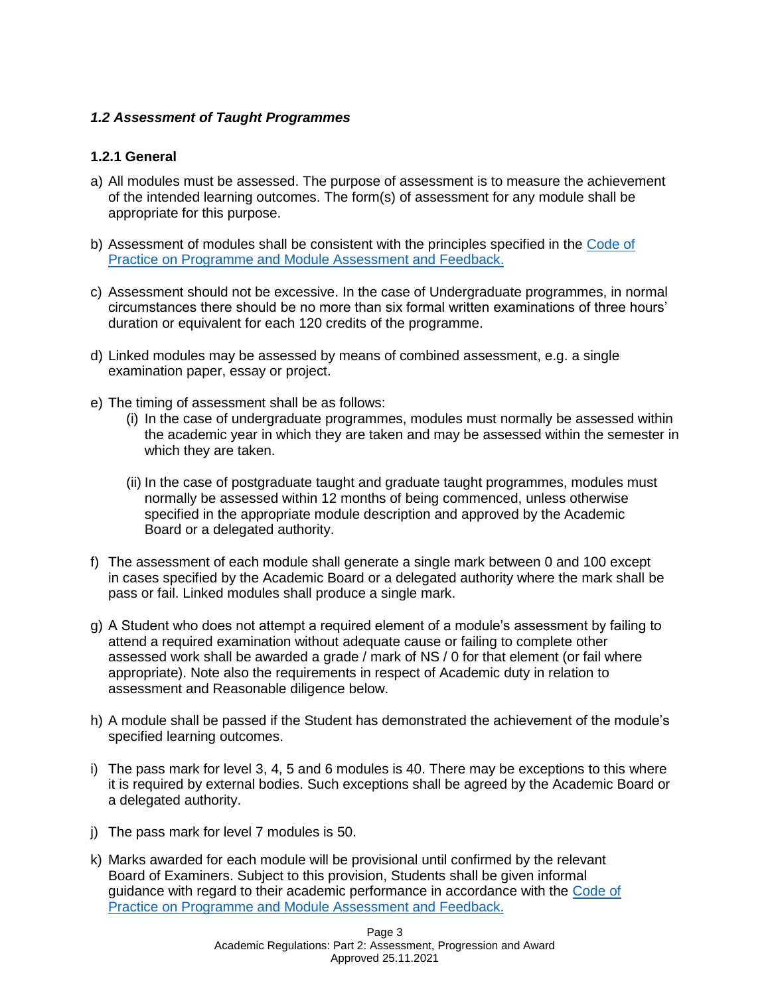# *1.2 Assessment of Taught Programmes*

# **1.2.1 General**

- a) All modules must be assessed. The purpose of assessment is to measure the achievement of the intended learning outcomes. The form(s) of assessment for any module shall be appropriate for this purpose.
- b) Assessment of modules shall be consistent with the principles specified in the [Code of](https://www.ucb.ac.uk/media/hunnlfdt/cop-taught-prog-module-assessment-and-feedback.pdf)  [Practice on Programme and Module Assessment and Feedback.](https://www.ucb.ac.uk/media/hunnlfdt/cop-taught-prog-module-assessment-and-feedback.pdf)
- c) Assessment should not be excessive. In the case of Undergraduate programmes, in normal circumstances there should be no more than six formal written examinations of three hours' duration or equivalent for each 120 credits of the programme.
- d) Linked modules may be assessed by means of combined assessment, e.g. a single examination paper, essay or project.
- e) The timing of assessment shall be as follows:
	- (i) In the case of undergraduate programmes, modules must normally be assessed within the academic year in which they are taken and may be assessed within the semester in which they are taken.
	- (ii) In the case of postgraduate taught and graduate taught programmes, modules must normally be assessed within 12 months of being commenced, unless otherwise specified in the appropriate module description and approved by the Academic Board or a delegated authority.
- f) The assessment of each module shall generate a single mark between 0 and 100 except in cases specified by the Academic Board or a delegated authority where the mark shall be pass or fail. Linked modules shall produce a single mark.
- g) A Student who does not attempt a required element of a module's assessment by failing to attend a required examination without adequate cause or failing to complete other assessed work shall be awarded a grade / mark of NS / 0 for that element (or fail where appropriate). Note also the requirements in respect of Academic duty in relation to assessment and Reasonable diligence below.
- h) A module shall be passed if the Student has demonstrated the achievement of the module's specified learning outcomes.
- i) The pass mark for level 3, 4, 5 and 6 modules is 40. There may be exceptions to this where it is required by external bodies. Such exceptions shall be agreed by the Academic Board or a delegated authority.
- j) The pass mark for level 7 modules is 50.
- k) Marks awarded for each module will be provisional until confirmed by the relevant Board of Examiners. Subject to this provision, Students shall be given informal guidance with regard to their academic performance in accordance with the [Code of](https://www.ucb.ac.uk/media/hunnlfdt/cop-taught-prog-module-assessment-and-feedback.pdf)  [Practice on Programme and Module Assessment and Feedback.](https://www.ucb.ac.uk/media/hunnlfdt/cop-taught-prog-module-assessment-and-feedback.pdf)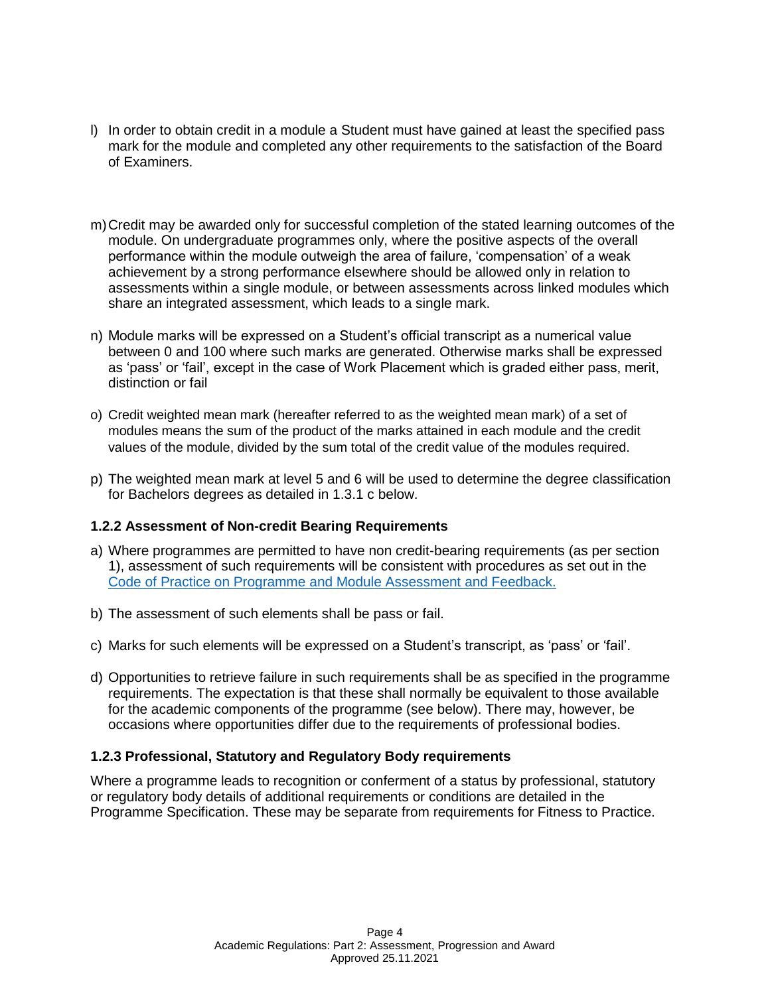- l) In order to obtain credit in a module a Student must have gained at least the specified pass mark for the module and completed any other requirements to the satisfaction of the Board of Examiners.
- m)Credit may be awarded only for successful completion of the stated learning outcomes of the module. On undergraduate programmes only, where the positive aspects of the overall performance within the module outweigh the area of failure, 'compensation' of a weak achievement by a strong performance elsewhere should be allowed only in relation to assessments within a single module, or between assessments across linked modules which share an integrated assessment, which leads to a single mark.
- n) Module marks will be expressed on a Student's official transcript as a numerical value between 0 and 100 where such marks are generated. Otherwise marks shall be expressed as 'pass' or 'fail', except in the case of Work Placement which is graded either pass, merit, distinction or fail
- o) Credit weighted mean mark (hereafter referred to as the weighted mean mark) of a set of modules means the sum of the product of the marks attained in each module and the credit values of the module, divided by the sum total of the credit value of the modules required.
- p) The weighted mean mark at level 5 and 6 will be used to determine the degree classification for Bachelors degrees as detailed in 1.3.1 c below.

### **1.2.2 Assessment of Non-credit Bearing Requirements**

- a) Where programmes are permitted to have non credit-bearing requirements (as per section 1), assessment of such requirements will be consistent with procedures as set out in the [Code of Practice on Programme and Module Assessment and Feedback.](https://www.ucb.ac.uk/media/hunnlfdt/cop-taught-prog-module-assessment-and-feedback.pdf)
- b) The assessment of such elements shall be pass or fail.
- c) Marks for such elements will be expressed on a Student's transcript, as 'pass' or 'fail'.
- d) Opportunities to retrieve failure in such requirements shall be as specified in the programme requirements. The expectation is that these shall normally be equivalent to those available for the academic components of the programme (see below). There may, however, be occasions where opportunities differ due to the requirements of professional bodies.

### **1.2.3 Professional, Statutory and Regulatory Body requirements**

Where a programme leads to recognition or conferment of a status by professional, statutory or regulatory body details of additional requirements or conditions are detailed in the Programme Specification. These may be separate from requirements for Fitness to Practice.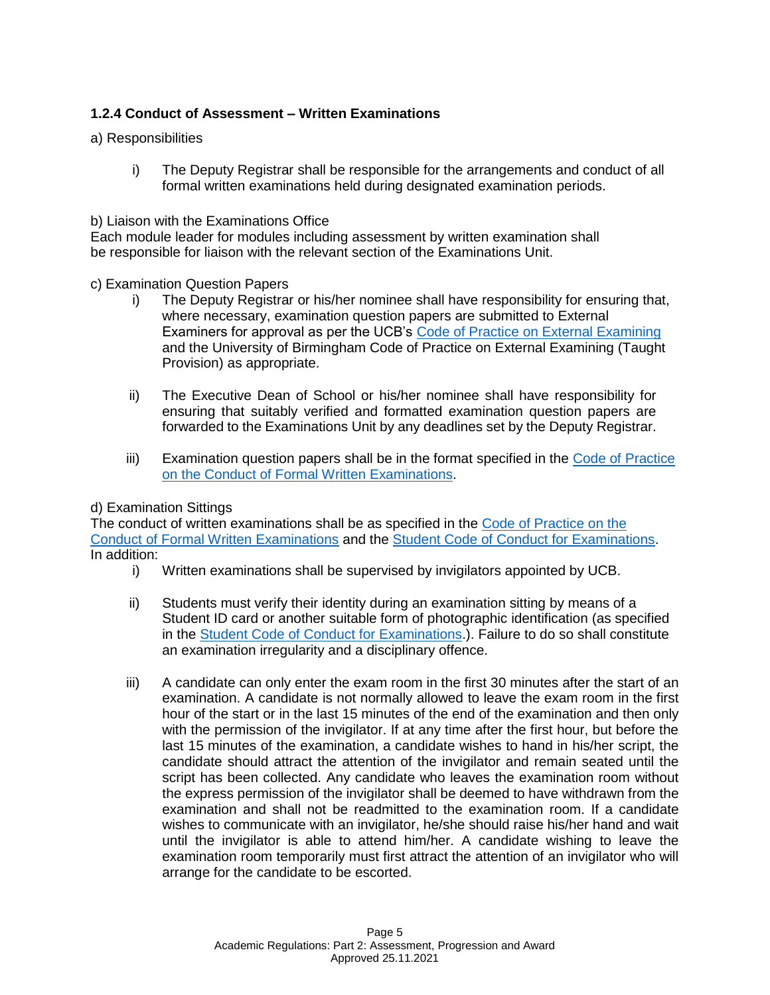# **1.2.4 Conduct of Assessment – Written Examinations**

### a) Responsibilities

i) The Deputy Registrar shall be responsible for the arrangements and conduct of all formal written examinations held during designated examination periods.

### b) Liaison with the Examinations Office

Each module leader for modules including assessment by written examination shall be responsible for liaison with the relevant section of the Examinations Unit.

### c) Examination Question Papers

- i) The Deputy Registrar or his/her nominee shall have responsibility for ensuring that, where necessary, examination question papers are submitted to External Examiners for approval as per the UCB's [Code of Practice on External Examining](https://www.ucb.ac.uk/media/d2jjms3m/ucb-external-examiner-code-of-practice.pdf) and the University of Birmingham Code of Practice on External Examining (Taught Provision) as appropriate.
- ii) The Executive Dean of School or his/her nominee shall have responsibility for ensuring that suitably verified and formatted examination question papers are forwarded to the Examinations Unit by any deadlines set by the Deputy Registrar.
- iii) Examination question papers shall be in the format specified in the [Code of Practice](https://www.ucb.ac.uk/media/mr4b2sbj/code-of-practice-on-the-conduct-of-formal-written-examinations-december-2020.pdf)  [on the Conduct of Formal Written Examinations.](https://www.ucb.ac.uk/media/mr4b2sbj/code-of-practice-on-the-conduct-of-formal-written-examinations-december-2020.pdf)

### d) Examination Sittings

The conduct of written examinations shall be as specified in the [Code of Practice on the](https://www.ucb.ac.uk/media/mr4b2sbj/code-of-practice-on-the-conduct-of-formal-written-examinations-december-2020.pdf)  [Conduct of Formal Written Examinations](https://www.ucb.ac.uk/media/mr4b2sbj/code-of-practice-on-the-conduct-of-formal-written-examinations-december-2020.pdf) and the [Student Code of Conduct for Examinations.](https://www.ucb.ac.uk/media/m5gholcx/student-code-of-conduct-for-examinations.pdf) In addition:

- i) Written examinations shall be supervised by invigilators appointed by UCB.
- ii) Students must verify their identity during an examination sitting by means of a Student ID card or another suitable form of photographic identification (as specified in the [Student Code of Conduct for Examinations.](https://www.ucb.ac.uk/media/m5gholcx/student-code-of-conduct-for-examinations.pdf)). Failure to do so shall constitute an examination irregularity and a disciplinary offence.
- iii) A candidate can only enter the exam room in the first 30 minutes after the start of an examination. A candidate is not normally allowed to leave the exam room in the first hour of the start or in the last 15 minutes of the end of the examination and then only with the permission of the invigilator. If at any time after the first hour, but before the last 15 minutes of the examination, a candidate wishes to hand in his/her script, the candidate should attract the attention of the invigilator and remain seated until the script has been collected. Any candidate who leaves the examination room without the express permission of the invigilator shall be deemed to have withdrawn from the examination and shall not be readmitted to the examination room. If a candidate wishes to communicate with an invigilator, he/she should raise his/her hand and wait until the invigilator is able to attend him/her. A candidate wishing to leave the examination room temporarily must first attract the attention of an invigilator who will arrange for the candidate to be escorted.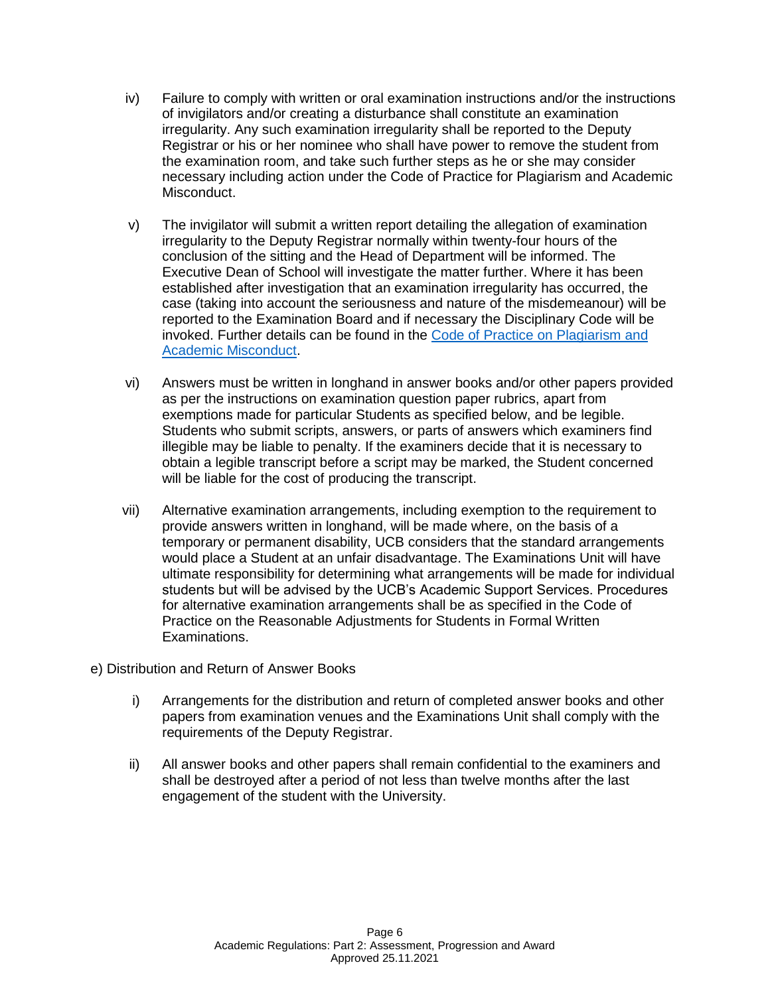- iv) Failure to comply with written or oral examination instructions and/or the instructions of invigilators and/or creating a disturbance shall constitute an examination irregularity. Any such examination irregularity shall be reported to the Deputy Registrar or his or her nominee who shall have power to remove the student from the examination room, and take such further steps as he or she may consider necessary including action under the Code of Practice for Plagiarism and Academic Misconduct.
- v) The invigilator will submit a written report detailing the allegation of examination irregularity to the Deputy Registrar normally within twenty-four hours of the conclusion of the sitting and the Head of Department will be informed. The Executive Dean of School will investigate the matter further. Where it has been established after investigation that an examination irregularity has occurred, the case (taking into account the seriousness and nature of the misdemeanour) will be reported to the Examination Board and if necessary the Disciplinary Code will be invoked. Further details can be found in the [Code of Practice on Plagiarism and](https://www.ucb.ac.uk/media/sb3nznc1/cop-on-plagiarism-and-academic-misconduct-december-2020.pdf)  [Academic Misconduct.](https://www.ucb.ac.uk/media/sb3nznc1/cop-on-plagiarism-and-academic-misconduct-december-2020.pdf)
- vi) Answers must be written in longhand in answer books and/or other papers provided as per the instructions on examination question paper rubrics, apart from exemptions made for particular Students as specified below, and be legible. Students who submit scripts, answers, or parts of answers which examiners find illegible may be liable to penalty. If the examiners decide that it is necessary to obtain a legible transcript before a script may be marked, the Student concerned will be liable for the cost of producing the transcript.
- vii) Alternative examination arrangements, including exemption to the requirement to provide answers written in longhand, will be made where, on the basis of a temporary or permanent disability, UCB considers that the standard arrangements would place a Student at an unfair disadvantage. The Examinations Unit will have ultimate responsibility for determining what arrangements will be made for individual students but will be advised by the UCB's Academic Support Services. Procedures for alternative examination arrangements shall be as specified in the Code of Practice on the Reasonable Adjustments for Students in Formal Written Examinations.
- e) Distribution and Return of Answer Books
	- i) Arrangements for the distribution and return of completed answer books and other papers from examination venues and the Examinations Unit shall comply with the requirements of the Deputy Registrar.
	- ii) All answer books and other papers shall remain confidential to the examiners and shall be destroyed after a period of not less than twelve months after the last engagement of the student with the University.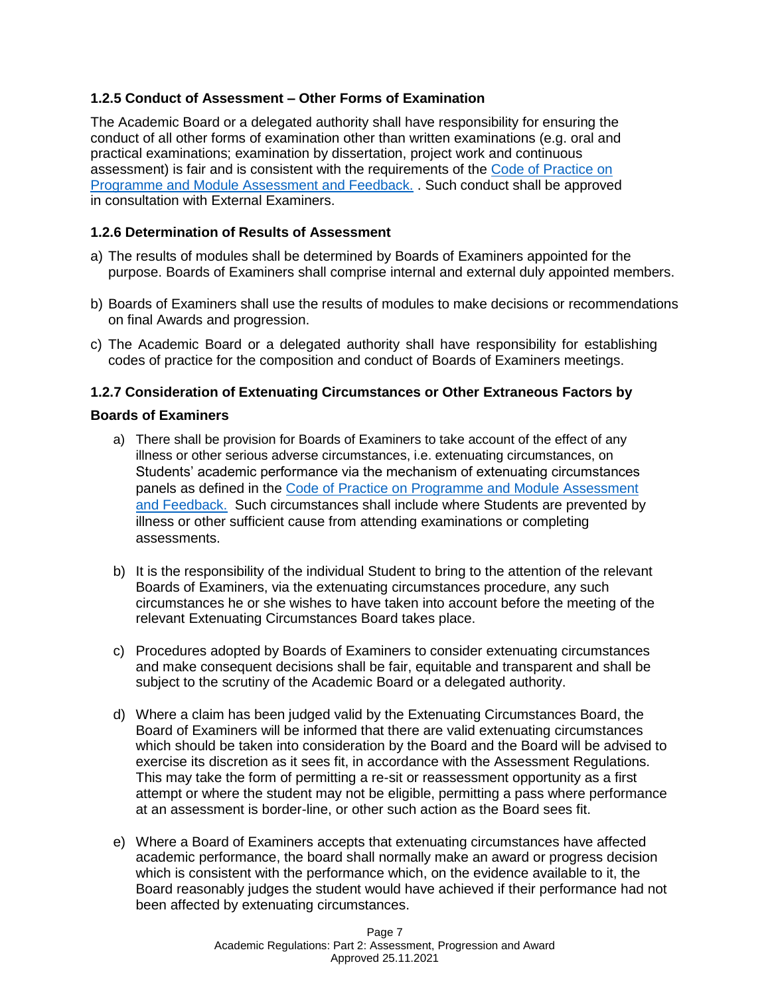# **1.2.5 Conduct of Assessment – Other Forms of Examination**

The Academic Board or a delegated authority shall have responsibility for ensuring the conduct of all other forms of examination other than written examinations (e.g. oral and practical examinations; examination by dissertation, project work and continuous assessment) is fair and is consistent with the requirements of the [Code of Practice on](https://www.ucb.ac.uk/media/hunnlfdt/cop-taught-prog-module-assessment-and-feedback.pdf)  [Programme and Module Assessment and Feedback.](https://www.ucb.ac.uk/media/hunnlfdt/cop-taught-prog-module-assessment-and-feedback.pdf) . Such conduct shall be approved in consultation with External Examiners.

### **1.2.6 Determination of Results of Assessment**

- a) The results of modules shall be determined by Boards of Examiners appointed for the purpose. Boards of Examiners shall comprise internal and external duly appointed members.
- b) Boards of Examiners shall use the results of modules to make decisions or recommendations on final Awards and progression.
- c) The Academic Board or a delegated authority shall have responsibility for establishing codes of practice for the composition and conduct of Boards of Examiners meetings.

### **1.2.7 Consideration of Extenuating Circumstances or Other Extraneous Factors by**

#### **Boards of Examiners**

- a) There shall be provision for Boards of Examiners to take account of the effect of any illness or other serious adverse circumstances, i.e. extenuating circumstances, on Students' academic performance via the mechanism of extenuating circumstances panels as defined in the [Code of Practice on Programme and Module Assessment](https://www.ucb.ac.uk/media/hunnlfdt/cop-taught-prog-module-assessment-and-feedback.pdf)  [and Feedback.](https://www.ucb.ac.uk/media/hunnlfdt/cop-taught-prog-module-assessment-and-feedback.pdf) Such circumstances shall include where Students are prevented by illness or other sufficient cause from attending examinations or completing assessments.
- b) It is the responsibility of the individual Student to bring to the attention of the relevant Boards of Examiners, via the extenuating circumstances procedure, any such circumstances he or she wishes to have taken into account before the meeting of the relevant Extenuating Circumstances Board takes place.
- c) Procedures adopted by Boards of Examiners to consider extenuating circumstances and make consequent decisions shall be fair, equitable and transparent and shall be subject to the scrutiny of the Academic Board or a delegated authority.
- d) Where a claim has been judged valid by the Extenuating Circumstances Board, the Board of Examiners will be informed that there are valid extenuating circumstances which should be taken into consideration by the Board and the Board will be advised to exercise its discretion as it sees fit, in accordance with the Assessment Regulations. This may take the form of permitting a re-sit or reassessment opportunity as a first attempt or where the student may not be eligible, permitting a pass where performance at an assessment is border-line, or other such action as the Board sees fit.
- e) Where a Board of Examiners accepts that extenuating circumstances have affected academic performance, the board shall normally make an award or progress decision which is consistent with the performance which, on the evidence available to it, the Board reasonably judges the student would have achieved if their performance had not been affected by extenuating circumstances.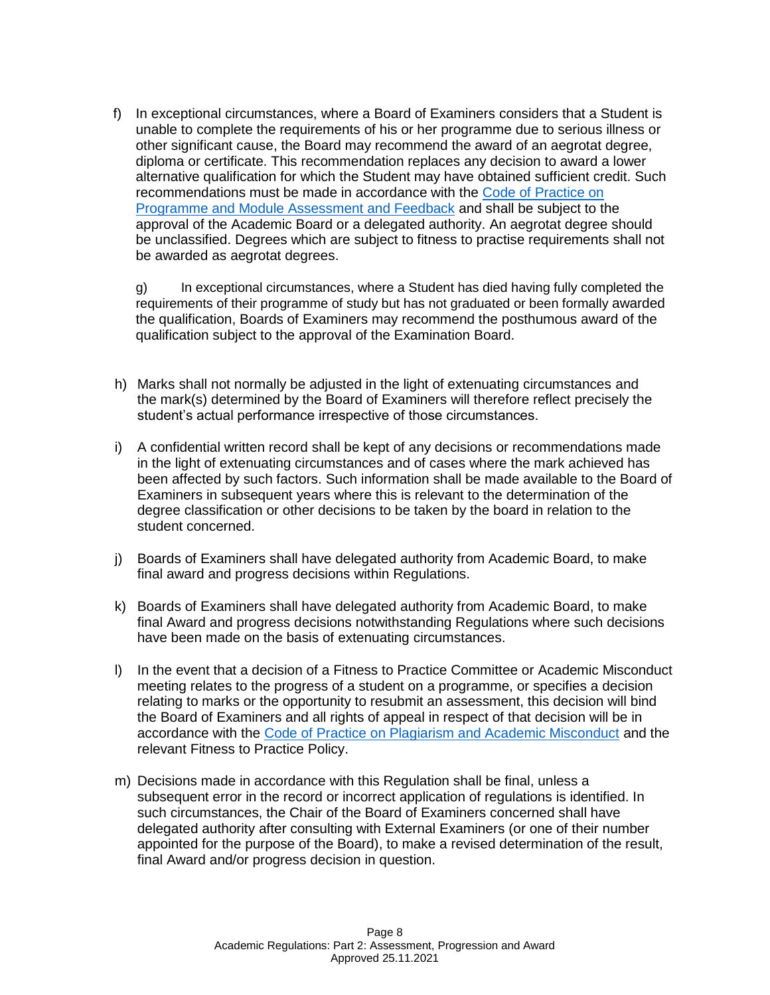f) In exceptional circumstances, where a Board of Examiners considers that a Student is unable to complete the requirements of his or her programme due to serious illness or other significant cause, the Board may recommend the award of an aegrotat degree, diploma or certificate. This recommendation replaces any decision to award a lower alternative qualification for which the Student may have obtained sufficient credit. Such recommendations must be made in accordance with the [Code of Practice on](https://www.ucb.ac.uk/media/hunnlfdt/cop-taught-prog-module-assessment-and-feedback.pdf)  [Programme and Module Assessment and Feedback](https://www.ucb.ac.uk/media/hunnlfdt/cop-taught-prog-module-assessment-and-feedback.pdf) and shall be subject to the approval of the Academic Board or a delegated authority. An aegrotat degree should be unclassified. Degrees which are subject to fitness to practise requirements shall not be awarded as aegrotat degrees.

g) In exceptional circumstances, where a Student has died having fully completed the requirements of their programme of study but has not graduated or been formally awarded the qualification, Boards of Examiners may recommend the posthumous award of the qualification subject to the approval of the Examination Board.

- h) Marks shall not normally be adjusted in the light of extenuating circumstances and the mark(s) determined by the Board of Examiners will therefore reflect precisely the student's actual performance irrespective of those circumstances.
- i) A confidential written record shall be kept of any decisions or recommendations made in the light of extenuating circumstances and of cases where the mark achieved has been affected by such factors. Such information shall be made available to the Board of Examiners in subsequent years where this is relevant to the determination of the degree classification or other decisions to be taken by the board in relation to the student concerned.
- j) Boards of Examiners shall have delegated authority from Academic Board, to make final award and progress decisions within Regulations.
- k) Boards of Examiners shall have delegated authority from Academic Board, to make final Award and progress decisions notwithstanding Regulations where such decisions have been made on the basis of extenuating circumstances.
- l) In the event that a decision of a Fitness to Practice Committee or Academic Misconduct meeting relates to the progress of a student on a programme, or specifies a decision relating to marks or the opportunity to resubmit an assessment, this decision will bind the Board of Examiners and all rights of appeal in respect of that decision will be in accordance with the [Code of Practice on Plagiarism and Academic Misconduct](https://www.ucb.ac.uk/media/sb3nznc1/cop-on-plagiarism-and-academic-misconduct-december-2020.pdf) and the relevant Fitness to Practice Policy.
- m) Decisions made in accordance with this Regulation shall be final, unless a subsequent error in the record or incorrect application of regulations is identified. In such circumstances, the Chair of the Board of Examiners concerned shall have delegated authority after consulting with External Examiners (or one of their number appointed for the purpose of the Board), to make a revised determination of the result, final Award and/or progress decision in question.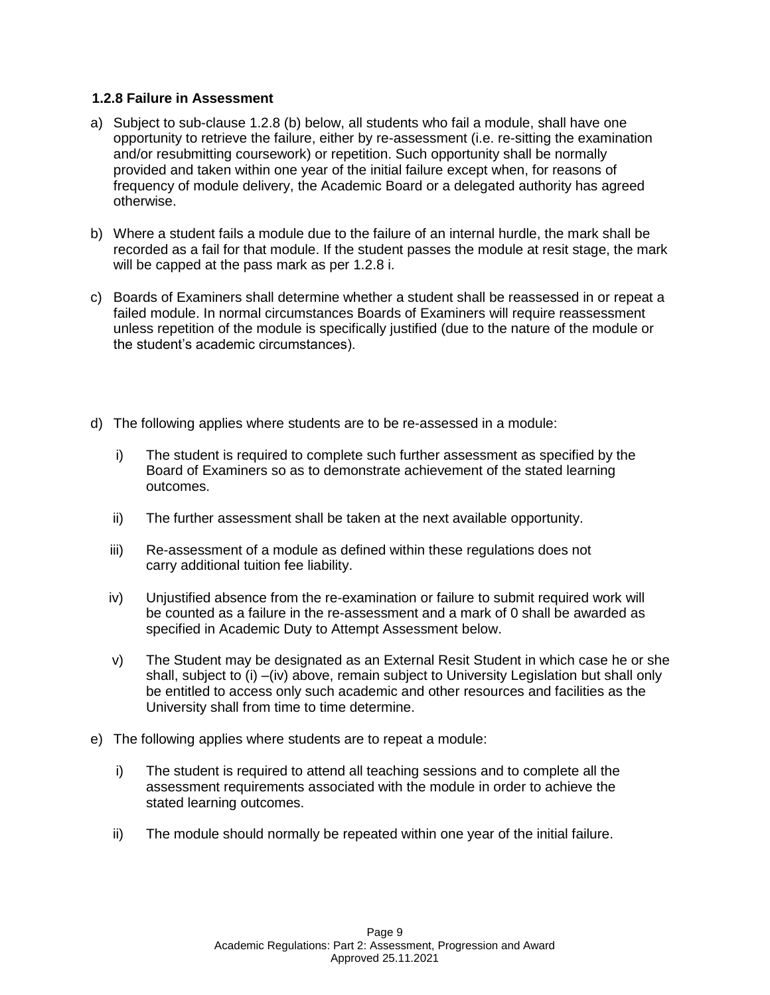### **1.2.8 Failure in Assessment**

- a) Subject to sub-clause 1.2.8 (b) below, all students who fail a module, shall have one opportunity to retrieve the failure, either by re-assessment (i.e. re-sitting the examination and/or resubmitting coursework) or repetition. Such opportunity shall be normally provided and taken within one year of the initial failure except when, for reasons of frequency of module delivery, the Academic Board or a delegated authority has agreed otherwise.
- b) Where a student fails a module due to the failure of an internal hurdle, the mark shall be recorded as a fail for that module. If the student passes the module at resit stage, the mark will be capped at the pass mark as per 1.2.8 i.
- c) Boards of Examiners shall determine whether a student shall be reassessed in or repeat a failed module. In normal circumstances Boards of Examiners will require reassessment unless repetition of the module is specifically justified (due to the nature of the module or the student's academic circumstances).
- d) The following applies where students are to be re-assessed in a module:
	- i) The student is required to complete such further assessment as specified by the Board of Examiners so as to demonstrate achievement of the stated learning outcomes.
	- ii) The further assessment shall be taken at the next available opportunity.
	- iii) Re-assessment of a module as defined within these regulations does not carry additional tuition fee liability.
	- iv) Unjustified absence from the re-examination or failure to submit required work will be counted as a failure in the re-assessment and a mark of 0 shall be awarded as specified in Academic Duty to Attempt Assessment below.
	- v) The Student may be designated as an External Resit Student in which case he or she shall, subject to (i) –(iv) above, remain subject to University Legislation but shall only be entitled to access only such academic and other resources and facilities as the University shall from time to time determine.
- e) The following applies where students are to repeat a module:
	- i) The student is required to attend all teaching sessions and to complete all the assessment requirements associated with the module in order to achieve the stated learning outcomes.
	- ii) The module should normally be repeated within one year of the initial failure.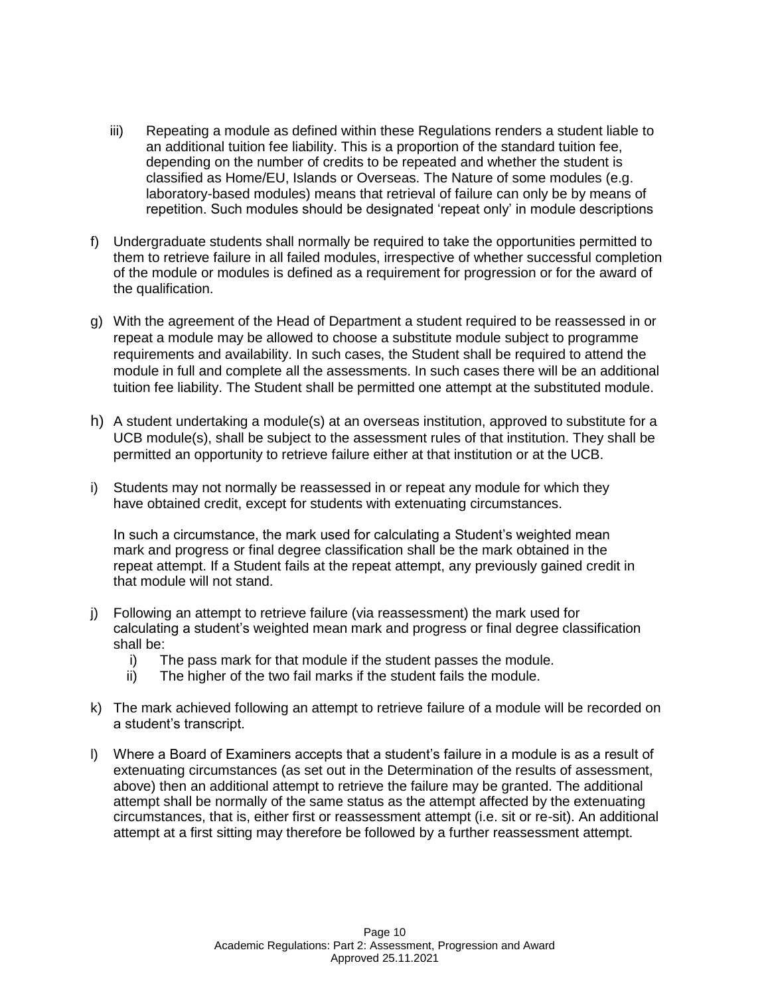- iii) Repeating a module as defined within these Regulations renders a student liable to an additional tuition fee liability. This is a proportion of the standard tuition fee, depending on the number of credits to be repeated and whether the student is classified as Home/EU, Islands or Overseas. The Nature of some modules (e.g. laboratory-based modules) means that retrieval of failure can only be by means of repetition. Such modules should be designated 'repeat only' in module descriptions
- f) Undergraduate students shall normally be required to take the opportunities permitted to them to retrieve failure in all failed modules, irrespective of whether successful completion of the module or modules is defined as a requirement for progression or for the award of the qualification.
- g) With the agreement of the Head of Department a student required to be reassessed in or repeat a module may be allowed to choose a substitute module subject to programme requirements and availability. In such cases, the Student shall be required to attend the module in full and complete all the assessments. In such cases there will be an additional tuition fee liability. The Student shall be permitted one attempt at the substituted module.
- h) A student undertaking a module(s) at an overseas institution, approved to substitute for a UCB module(s), shall be subject to the assessment rules of that institution. They shall be permitted an opportunity to retrieve failure either at that institution or at the UCB.
- i) Students may not normally be reassessed in or repeat any module for which they have obtained credit, except for students with extenuating circumstances.

In such a circumstance, the mark used for calculating a Student's weighted mean mark and progress or final degree classification shall be the mark obtained in the repeat attempt. If a Student fails at the repeat attempt, any previously gained credit in that module will not stand.

- j) Following an attempt to retrieve failure (via reassessment) the mark used for calculating a student's weighted mean mark and progress or final degree classification shall be:
	- i) The pass mark for that module if the student passes the module.
	- ii) The higher of the two fail marks if the student fails the module.
- k) The mark achieved following an attempt to retrieve failure of a module will be recorded on a student's transcript.
- l) Where a Board of Examiners accepts that a student's failure in a module is as a result of extenuating circumstances (as set out in the Determination of the results of assessment, above) then an additional attempt to retrieve the failure may be granted. The additional attempt shall be normally of the same status as the attempt affected by the extenuating circumstances, that is, either first or reassessment attempt (i.e. sit or re-sit). An additional attempt at a first sitting may therefore be followed by a further reassessment attempt.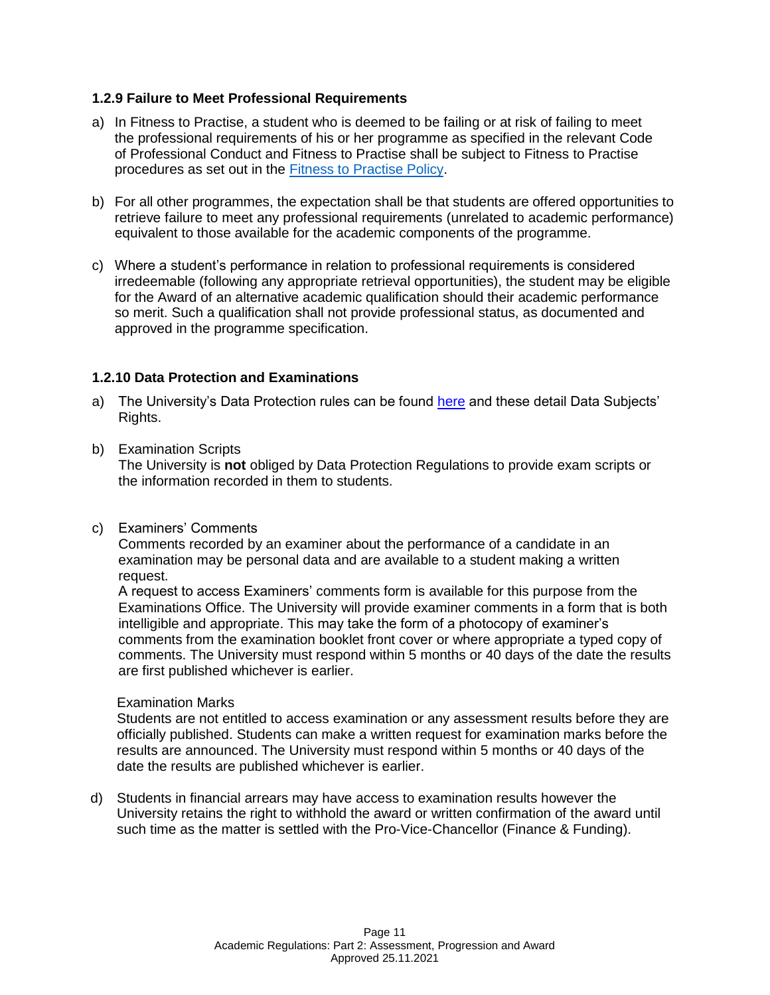### **1.2.9 Failure to Meet Professional Requirements**

- a) In Fitness to Practise, a student who is deemed to be failing or at risk of failing to meet the professional requirements of his or her programme as specified in the relevant Code of Professional Conduct and Fitness to Practise shall be subject to Fitness to Practise procedures as set out in the [Fitness to Practise Policy.](https://www.ucb.ac.uk/media/4xvnuj0v/studentfitnesstopractisepolicy.pdf)
- b) For all other programmes, the expectation shall be that students are offered opportunities to retrieve failure to meet any professional requirements (unrelated to academic performance) equivalent to those available for the academic components of the programme.
- c) Where a student's performance in relation to professional requirements is considered irredeemable (following any appropriate retrieval opportunities), the student may be eligible for the Award of an alternative academic qualification should their academic performance so merit. Such a qualification shall not provide professional status, as documented and approved in the programme specification.

### **1.2.10 Data Protection and Examinations**

- a) The University's Data Protection rules can be found here and these detail Data Subiects' Rights.
- b) Examination Scripts

The University is **not** obliged by Data Protection Regulations to provide exam scripts or the information recorded in them to students.

c) Examiners' Comments

Comments recorded by an examiner about the performance of a candidate in an examination may be personal data and are available to a student making a written request.

A request to access Examiners' comments form is available for this purpose from the Examinations Office. The University will provide examiner comments in a form that is both intelligible and appropriate. This may take the form of a photocopy of examiner's comments from the examination booklet front cover or where appropriate a typed copy of comments. The University must respond within 5 months or 40 days of the date the results are first published whichever is earlier.

#### Examination Marks

Students are not entitled to access examination or any assessment results before they are officially published. Students can make a written request for examination marks before the results are announced. The University must respond within 5 months or 40 days of the date the results are published whichever is earlier.

d) Students in financial arrears may have access to examination results however the University retains the right to withhold the award or written confirmation of the award until such time as the matter is settled with the Pro-Vice-Chancellor (Finance & Funding).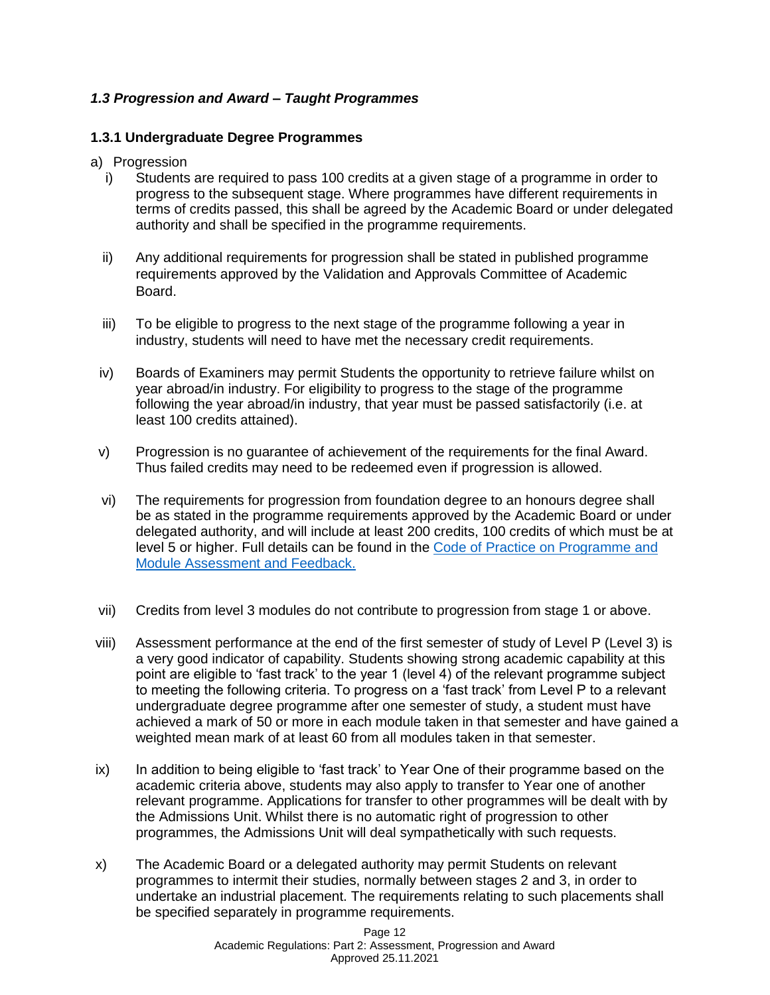# *1.3 Progression and Award – Taught Programmes*

### **1.3.1 Undergraduate Degree Programmes**

- a) Progression
	- i) Students are required to pass 100 credits at a given stage of a programme in order to progress to the subsequent stage. Where programmes have different requirements in terms of credits passed, this shall be agreed by the Academic Board or under delegated authority and shall be specified in the programme requirements.
	- ii) Any additional requirements for progression shall be stated in published programme requirements approved by the Validation and Approvals Committee of Academic Board.
	- iii) To be eligible to progress to the next stage of the programme following a year in industry, students will need to have met the necessary credit requirements.
- iv) Boards of Examiners may permit Students the opportunity to retrieve failure whilst on year abroad/in industry. For eligibility to progress to the stage of the programme following the year abroad/in industry, that year must be passed satisfactorily (i.e. at least 100 credits attained).
- v) Progression is no guarantee of achievement of the requirements for the final Award. Thus failed credits may need to be redeemed even if progression is allowed.
- vi) The requirements for progression from foundation degree to an honours degree shall be as stated in the programme requirements approved by the Academic Board or under delegated authority, and will include at least 200 credits, 100 credits of which must be at level 5 or higher. Full details can be found in the [Code of Practice on Programme and](https://www.ucb.ac.uk/media/hunnlfdt/cop-taught-prog-module-assessment-and-feedback.pdf)  [Module Assessment and Feedback.](https://www.ucb.ac.uk/media/hunnlfdt/cop-taught-prog-module-assessment-and-feedback.pdf)
- vii) Credits from level 3 modules do not contribute to progression from stage 1 or above.
- viii) Assessment performance at the end of the first semester of study of Level P (Level 3) is a very good indicator of capability. Students showing strong academic capability at this point are eligible to 'fast track' to the year 1 (level 4) of the relevant programme subject to meeting the following criteria. To progress on a 'fast track' from Level P to a relevant undergraduate degree programme after one semester of study, a student must have achieved a mark of 50 or more in each module taken in that semester and have gained a weighted mean mark of at least 60 from all modules taken in that semester.
- ix) In addition to being eligible to 'fast track' to Year One of their programme based on the academic criteria above, students may also apply to transfer to Year one of another relevant programme. Applications for transfer to other programmes will be dealt with by the Admissions Unit. Whilst there is no automatic right of progression to other programmes, the Admissions Unit will deal sympathetically with such requests.
- x) The Academic Board or a delegated authority may permit Students on relevant programmes to intermit their studies, normally between stages 2 and 3, in order to undertake an industrial placement. The requirements relating to such placements shall be specified separately in programme requirements.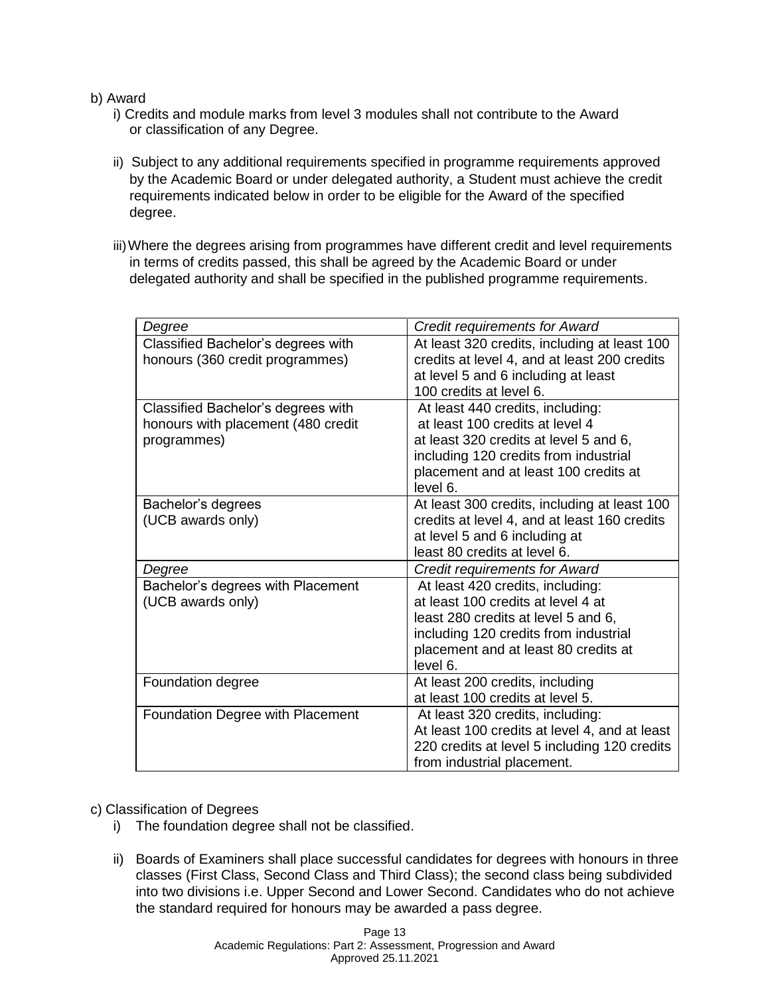### b) Award

- i) Credits and module marks from level 3 modules shall not contribute to the Award or classification of any Degree.
- ii) Subject to any additional requirements specified in programme requirements approved by the Academic Board or under delegated authority, a Student must achieve the credit requirements indicated below in order to be eligible for the Award of the specified degree.
- iii)Where the degrees arising from programmes have different credit and level requirements in terms of credits passed, this shall be agreed by the Academic Board or under delegated authority and shall be specified in the published programme requirements.

| Degree                                                                                  | <b>Credit requirements for Award</b>                                                                                                                                                                        |
|-----------------------------------------------------------------------------------------|-------------------------------------------------------------------------------------------------------------------------------------------------------------------------------------------------------------|
| Classified Bachelor's degrees with<br>honours (360 credit programmes)                   | At least 320 credits, including at least 100<br>credits at level 4, and at least 200 credits<br>at level 5 and 6 including at least<br>100 credits at level 6.                                              |
| Classified Bachelor's degrees with<br>honours with placement (480 credit<br>programmes) | At least 440 credits, including:<br>at least 100 credits at level 4<br>at least 320 credits at level 5 and 6,<br>including 120 credits from industrial<br>placement and at least 100 credits at<br>level 6. |
| Bachelor's degrees<br>(UCB awards only)                                                 | At least 300 credits, including at least 100<br>credits at level 4, and at least 160 credits<br>at level 5 and 6 including at<br>least 80 credits at level 6.                                               |
| Degree                                                                                  | <b>Credit requirements for Award</b>                                                                                                                                                                        |
| Bachelor's degrees with Placement<br>(UCB awards only)                                  | At least 420 credits, including:<br>at least 100 credits at level 4 at<br>least 280 credits at level 5 and 6,<br>including 120 credits from industrial<br>placement and at least 80 credits at<br>level 6.  |
| Foundation degree                                                                       | At least 200 credits, including<br>at least 100 credits at level 5.                                                                                                                                         |
| Foundation Degree with Placement                                                        | At least 320 credits, including:<br>At least 100 credits at level 4, and at least<br>220 credits at level 5 including 120 credits<br>from industrial placement.                                             |

#### c) Classification of Degrees

- i) The foundation degree shall not be classified.
- ii) Boards of Examiners shall place successful candidates for degrees with honours in three classes (First Class, Second Class and Third Class); the second class being subdivided into two divisions i.e. Upper Second and Lower Second. Candidates who do not achieve the standard required for honours may be awarded a pass degree.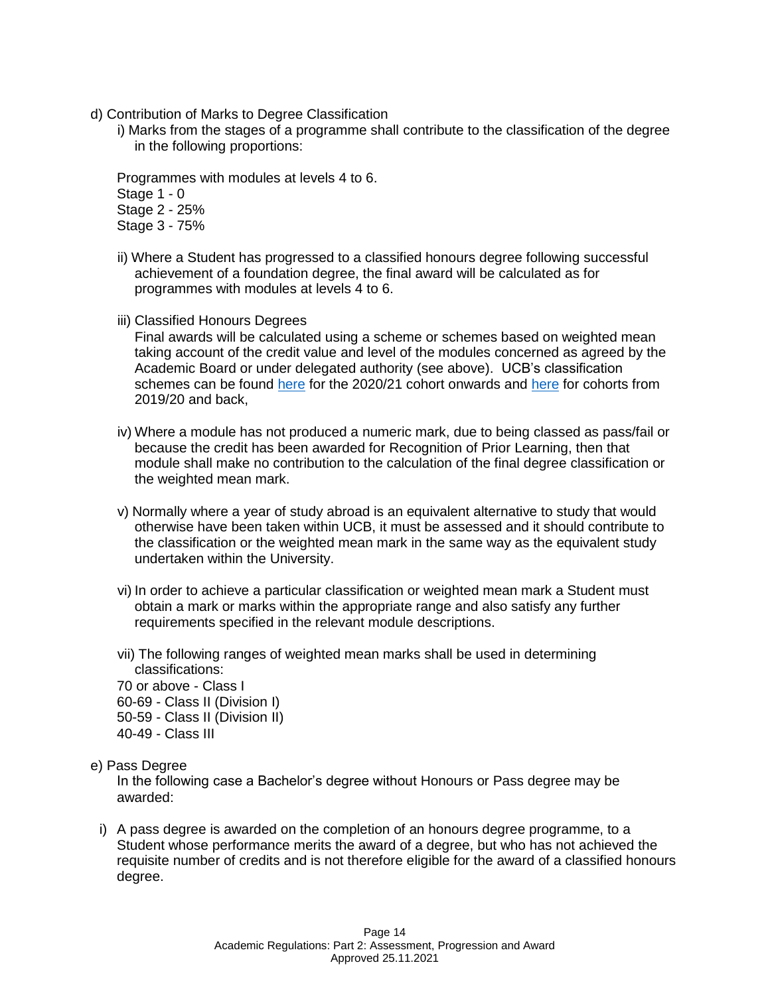- d) Contribution of Marks to Degree Classification
	- i) Marks from the stages of a programme shall contribute to the classification of the degree in the following proportions:

Programmes with modules at levels 4 to 6. Stage 1 - 0 Stage 2 - 25% Stage 3 - 75%

- ii) Where a Student has progressed to a classified honours degree following successful achievement of a foundation degree, the final award will be calculated as for programmes with modules at levels 4 to 6.
- iii) Classified Honours Degrees

Final awards will be calculated using a scheme or schemes based on weighted mean taking account of the credit value and level of the modules concerned as agreed by the Academic Board or under delegated authority (see above). UCB's classification schemes can be found [here](https://www.ucb.ac.uk/media/tmjlzchg/university-college-birmingham-classification-scheme-post-20192020.pdf) for the 2020/21 cohort onwards and [here](https://www.ucb.ac.uk/media/vfaaqhlx/university-college-birmingham-classification-scheme-pre-20192020.pdf) for cohorts from 2019/20 and back,

- iv) Where a module has not produced a numeric mark, due to being classed as pass/fail or because the credit has been awarded for Recognition of Prior Learning, then that module shall make no contribution to the calculation of the final degree classification or the weighted mean mark.
- v) Normally where a year of study abroad is an equivalent alternative to study that would otherwise have been taken within UCB, it must be assessed and it should contribute to the classification or the weighted mean mark in the same way as the equivalent study undertaken within the University.
- vi) In order to achieve a particular classification or weighted mean mark a Student must obtain a mark or marks within the appropriate range and also satisfy any further requirements specified in the relevant module descriptions.
- vii) The following ranges of weighted mean marks shall be used in determining classifications:
- 70 or above Class I
- 60-69 Class II (Division I)
- 50-59 Class II (Division II)
- 40-49 Class III

#### e) Pass Degree

In the following case a Bachelor's degree without Honours or Pass degree may be awarded:

i) A pass degree is awarded on the completion of an honours degree programme, to a Student whose performance merits the award of a degree, but who has not achieved the requisite number of credits and is not therefore eligible for the award of a classified honours degree.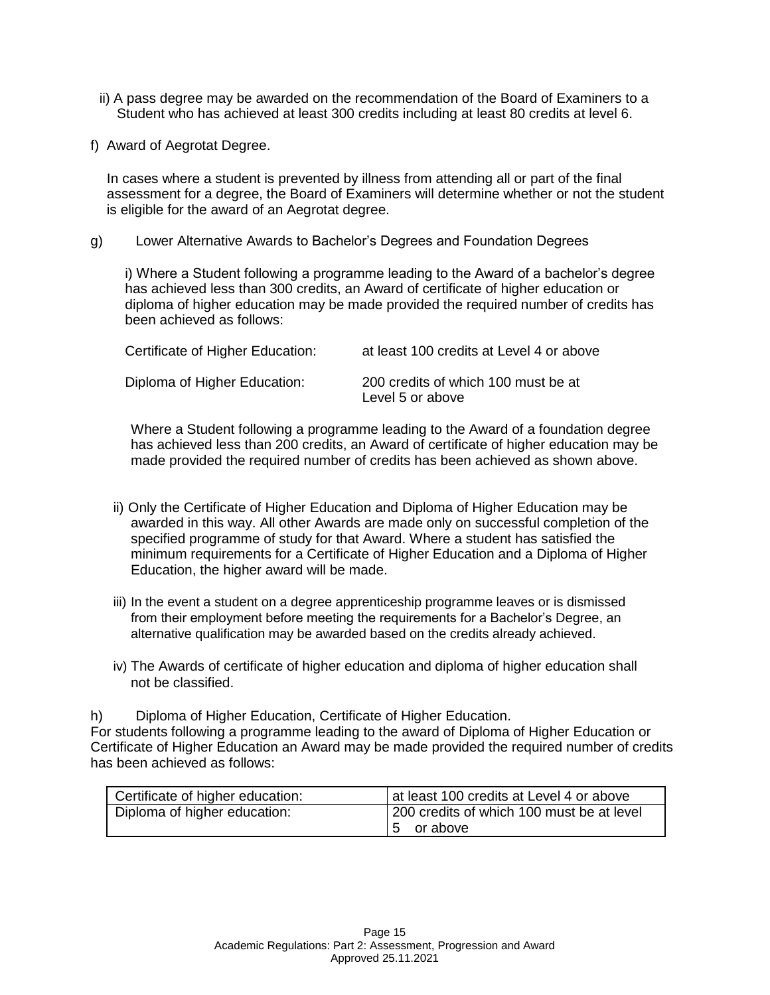- ii) A pass degree may be awarded on the recommendation of the Board of Examiners to a Student who has achieved at least 300 credits including at least 80 credits at level 6.
- f) Award of Aegrotat Degree.

In cases where a student is prevented by illness from attending all or part of the final assessment for a degree, the Board of Examiners will determine whether or not the student is eligible for the award of an Aegrotat degree.

g) Lower Alternative Awards to Bachelor's Degrees and Foundation Degrees

i) Where a Student following a programme leading to the Award of a bachelor's degree has achieved less than 300 credits, an Award of certificate of higher education or diploma of higher education may be made provided the required number of credits has been achieved as follows:

| Certificate of Higher Education: | at least 100 credits at Level 4 or above                |
|----------------------------------|---------------------------------------------------------|
| Diploma of Higher Education:     | 200 credits of which 100 must be at<br>Level 5 or above |

Where a Student following a programme leading to the Award of a foundation degree has achieved less than 200 credits, an Award of certificate of higher education may be made provided the required number of credits has been achieved as shown above.

- ii) Only the Certificate of Higher Education and Diploma of Higher Education may be awarded in this way. All other Awards are made only on successful completion of the specified programme of study for that Award. Where a student has satisfied the minimum requirements for a Certificate of Higher Education and a Diploma of Higher Education, the higher award will be made.
- iii) In the event a student on a degree apprenticeship programme leaves or is dismissed from their employment before meeting the requirements for a Bachelor's Degree, an alternative qualification may be awarded based on the credits already achieved.
- iv) The Awards of certificate of higher education and diploma of higher education shall not be classified.

h) Diploma of Higher Education, Certificate of Higher Education.

For students following a programme leading to the award of Diploma of Higher Education or Certificate of Higher Education an Award may be made provided the required number of credits has been achieved as follows:

| Certificate of higher education: | at least 100 credits at Level 4 or above  |  |
|----------------------------------|-------------------------------------------|--|
| Diploma of higher education:     | 200 credits of which 100 must be at level |  |
|                                  | 15 or above                               |  |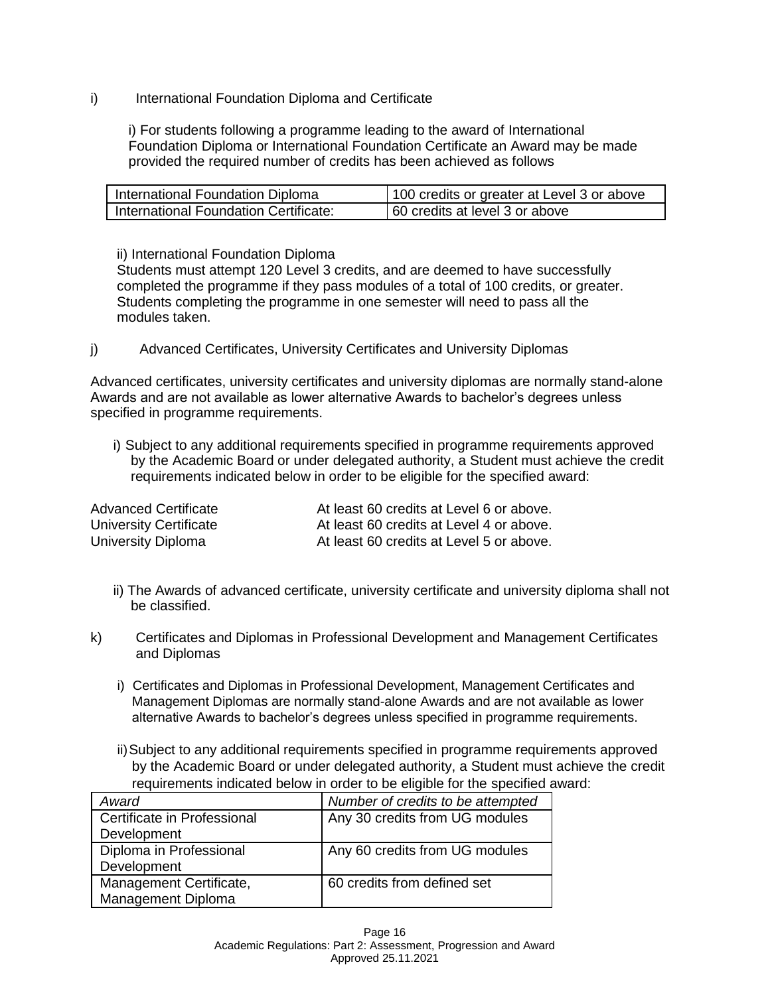i) International Foundation Diploma and Certificate

i) For students following a programme leading to the award of International Foundation Diploma or International Foundation Certificate an Award may be made provided the required number of credits has been achieved as follows

| International Foundation Diploma      | 100 credits or greater at Level 3 or above |
|---------------------------------------|--------------------------------------------|
| International Foundation Certificate: | 60 credits at level 3 or above             |

ii) International Foundation Diploma

Students must attempt 120 Level 3 credits, and are deemed to have successfully completed the programme if they pass modules of a total of 100 credits, or greater. Students completing the programme in one semester will need to pass all the modules taken.

j) Advanced Certificates, University Certificates and University Diplomas

Advanced certificates, university certificates and university diplomas are normally stand-alone Awards and are not available as lower alternative Awards to bachelor's degrees unless specified in programme requirements.

i) Subject to any additional requirements specified in programme requirements approved by the Academic Board or under delegated authority, a Student must achieve the credit requirements indicated below in order to be eligible for the specified award:

| Advanced Certificate   | At least 60 credits at Level 6 or above. |
|------------------------|------------------------------------------|
| University Certificate | At least 60 credits at Level 4 or above. |
| University Diploma     | At least 60 credits at Level 5 or above. |

- ii) The Awards of advanced certificate, university certificate and university diploma shall not be classified.
- k) Certificates and Diplomas in Professional Development and Management Certificates and Diplomas
	- i) Certificates and Diplomas in Professional Development, Management Certificates and Management Diplomas are normally stand-alone Awards and are not available as lower alternative Awards to bachelor's degrees unless specified in programme requirements.
	- ii)Subject to any additional requirements specified in programme requirements approved by the Academic Board or under delegated authority, a Student must achieve the credit requirements indicated below in order to be eligible for the specified award:

| Award                       | Number of credits to be attempted |
|-----------------------------|-----------------------------------|
| Certificate in Professional | Any 30 credits from UG modules    |
| Development                 |                                   |
| Diploma in Professional     | Any 60 credits from UG modules    |
| Development                 |                                   |
| Management Certificate,     | 60 credits from defined set       |
| Management Diploma          |                                   |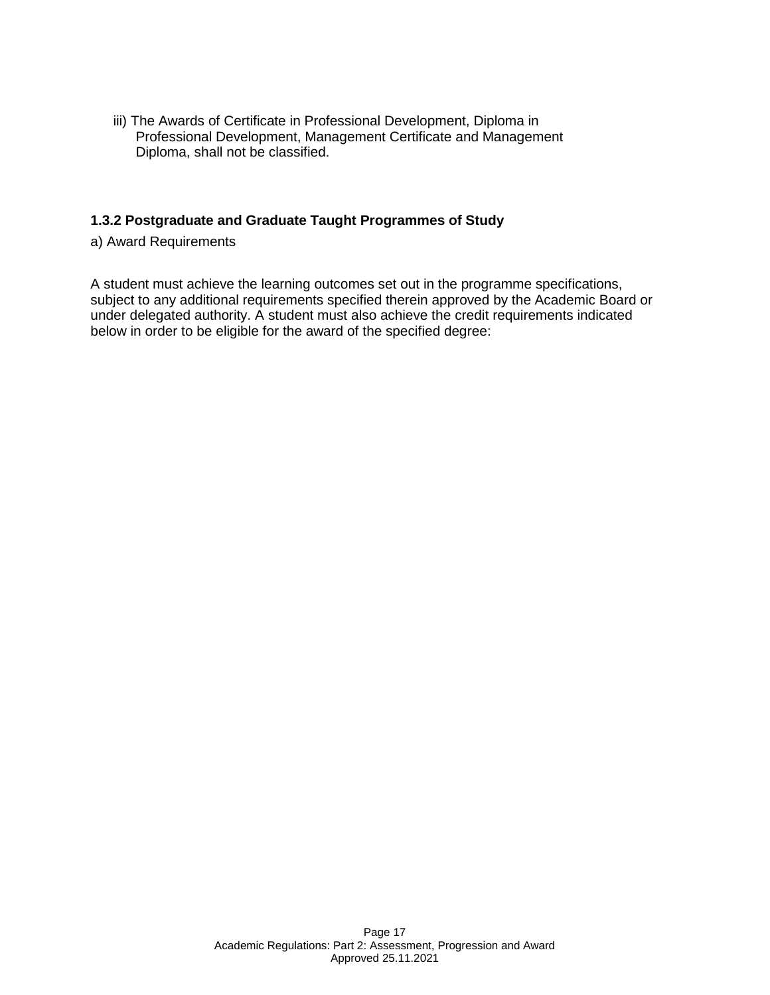iii) The Awards of Certificate in Professional Development, Diploma in Professional Development, Management Certificate and Management Diploma, shall not be classified.

### **1.3.2 Postgraduate and Graduate Taught Programmes of Study**

a) Award Requirements

A student must achieve the learning outcomes set out in the programme specifications, subject to any additional requirements specified therein approved by the Academic Board or under delegated authority. A student must also achieve the credit requirements indicated below in order to be eligible for the award of the specified degree: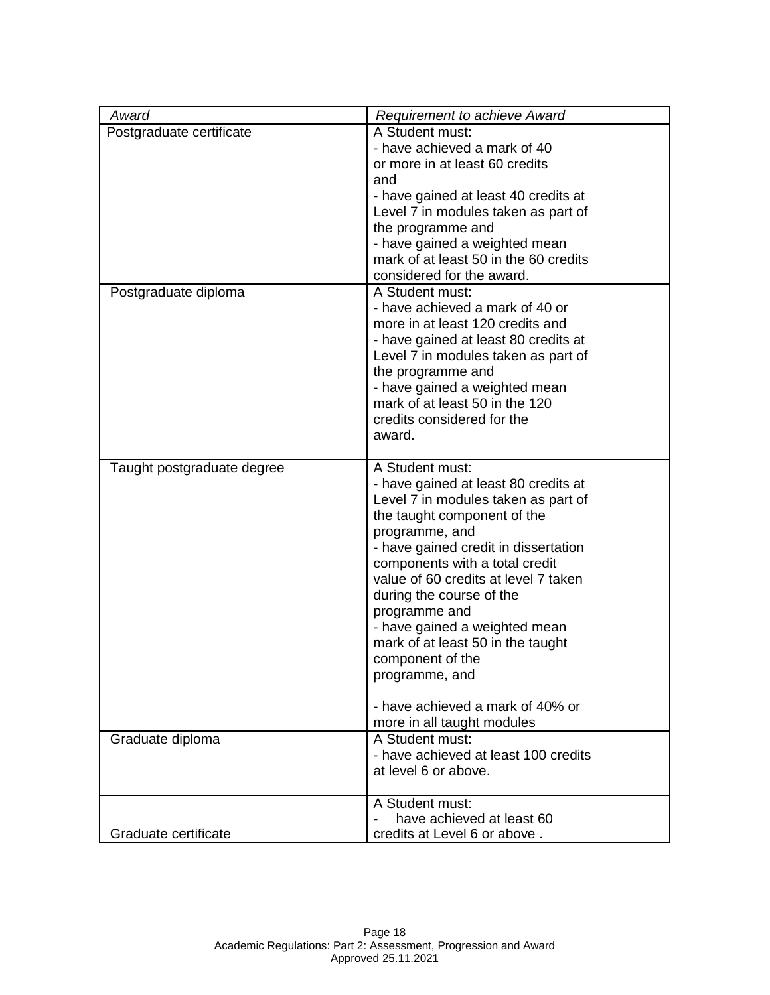| Award                      | <b>Requirement to achieve Award</b>                                    |  |
|----------------------------|------------------------------------------------------------------------|--|
| Postgraduate certificate   | A Student must:                                                        |  |
|                            | - have achieved a mark of 40                                           |  |
|                            | or more in at least 60 credits                                         |  |
|                            | and                                                                    |  |
|                            | - have gained at least 40 credits at                                   |  |
|                            | Level 7 in modules taken as part of                                    |  |
|                            | the programme and                                                      |  |
|                            | - have gained a weighted mean                                          |  |
|                            | mark of at least 50 in the 60 credits                                  |  |
|                            | considered for the award.                                              |  |
| Postgraduate diploma       | A Student must:                                                        |  |
|                            | - have achieved a mark of 40 or                                        |  |
|                            | more in at least 120 credits and                                       |  |
|                            | - have gained at least 80 credits at                                   |  |
|                            | Level 7 in modules taken as part of                                    |  |
|                            | the programme and                                                      |  |
|                            | - have gained a weighted mean                                          |  |
|                            | mark of at least 50 in the 120                                         |  |
|                            | credits considered for the                                             |  |
|                            | award.                                                                 |  |
|                            |                                                                        |  |
| Taught postgraduate degree | A Student must:                                                        |  |
|                            | - have gained at least 80 credits at                                   |  |
|                            | Level 7 in modules taken as part of                                    |  |
|                            | the taught component of the                                            |  |
|                            | programme, and                                                         |  |
|                            | - have gained credit in dissertation                                   |  |
|                            | components with a total credit<br>value of 60 credits at level 7 taken |  |
|                            |                                                                        |  |
|                            | during the course of the                                               |  |
|                            | programme and<br>- have gained a weighted mean                         |  |
|                            | mark of at least 50 in the taught                                      |  |
|                            | component of the                                                       |  |
|                            | programme, and                                                         |  |
|                            |                                                                        |  |
|                            | - have achieved a mark of 40% or                                       |  |
|                            | more in all taught modules                                             |  |
| Graduate diploma           | A Student must:                                                        |  |
|                            | - have achieved at least 100 credits                                   |  |
|                            | at level 6 or above.                                                   |  |
|                            |                                                                        |  |
|                            | A Student must:                                                        |  |
|                            | have achieved at least 60                                              |  |
| Graduate certificate       | credits at Level 6 or above.                                           |  |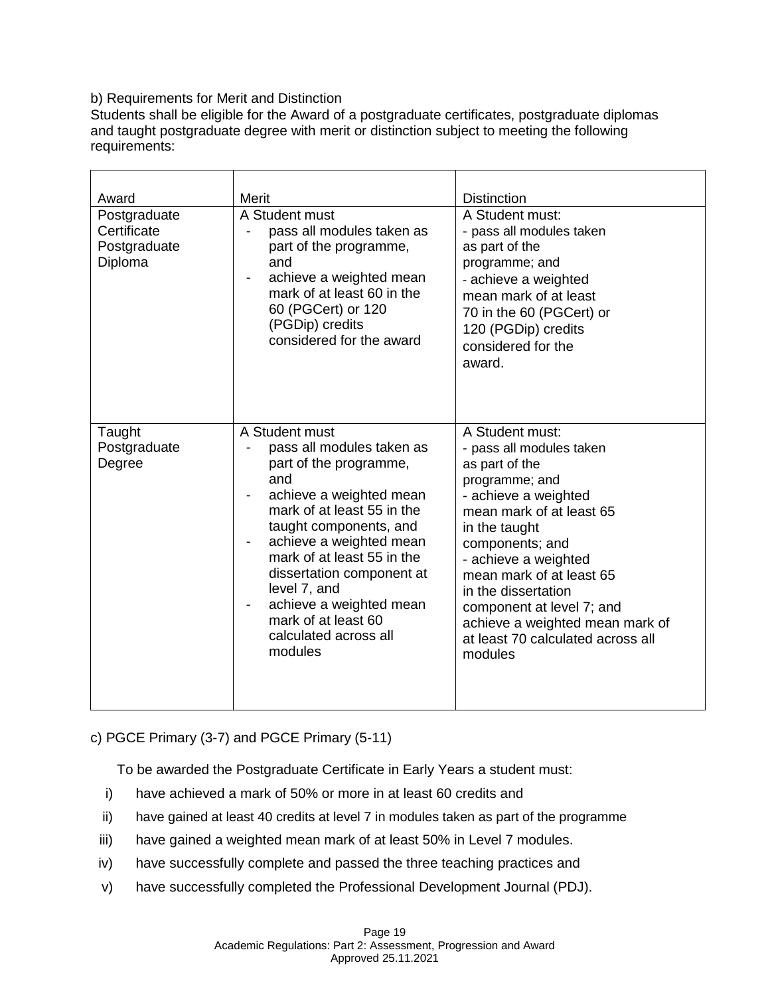## b) Requirements for Merit and Distinction

Students shall be eligible for the Award of a postgraduate certificates, postgraduate diplomas and taught postgraduate degree with merit or distinction subject to meeting the following requirements:

| Award<br>Postgraduate<br>Certificate<br>Postgraduate<br>Diploma | Merit<br>A Student must<br>pass all modules taken as<br>part of the programme,<br>and<br>achieve a weighted mean<br>mark of at least 60 in the<br>60 (PGCert) or 120<br>(PGDip) credits<br>considered for the award                                                                                                                                         | <b>Distinction</b><br>A Student must:<br>- pass all modules taken<br>as part of the<br>programme; and<br>- achieve a weighted<br>mean mark of at least<br>70 in the 60 (PGCert) or<br>120 (PGDip) credits<br>considered for the                                                                                                                                              |
|-----------------------------------------------------------------|-------------------------------------------------------------------------------------------------------------------------------------------------------------------------------------------------------------------------------------------------------------------------------------------------------------------------------------------------------------|------------------------------------------------------------------------------------------------------------------------------------------------------------------------------------------------------------------------------------------------------------------------------------------------------------------------------------------------------------------------------|
| Taught<br>Postgraduate<br>Degree                                | A Student must<br>pass all modules taken as<br>part of the programme,<br>and<br>achieve a weighted mean<br>mark of at least 55 in the<br>taught components, and<br>achieve a weighted mean<br>mark of at least 55 in the<br>dissertation component at<br>level 7, and<br>achieve a weighted mean<br>mark of at least 60<br>calculated across all<br>modules | award.<br>A Student must:<br>- pass all modules taken<br>as part of the<br>programme; and<br>- achieve a weighted<br>mean mark of at least 65<br>in the taught<br>components; and<br>- achieve a weighted<br>mean mark of at least 65<br>in the dissertation<br>component at level 7; and<br>achieve a weighted mean mark of<br>at least 70 calculated across all<br>modules |

# c) PGCE Primary (3-7) and PGCE Primary (5-11)

To be awarded the Postgraduate Certificate in Early Years a student must:

- i) have achieved a mark of 50% or more in at least 60 credits and
- ii) have gained at least 40 credits at level 7 in modules taken as part of the programme
- iii) have gained a weighted mean mark of at least 50% in Level 7 modules.
- iv) have successfully complete and passed the three teaching practices and
- v) have successfully completed the Professional Development Journal (PDJ).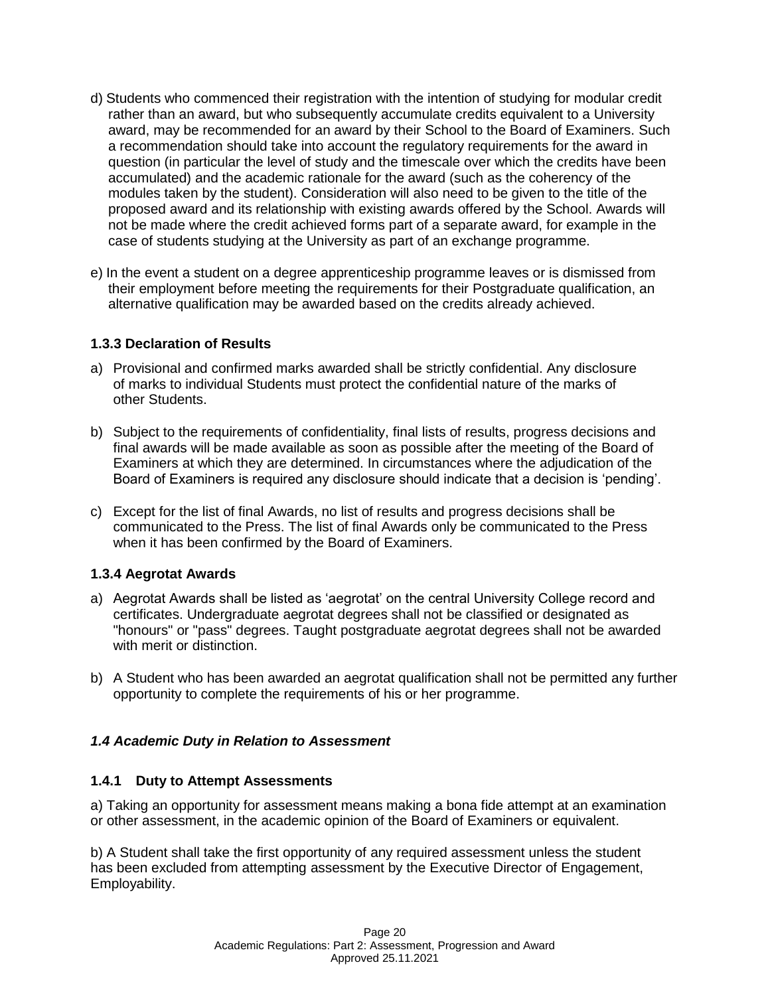- d) Students who commenced their registration with the intention of studying for modular credit rather than an award, but who subsequently accumulate credits equivalent to a University award, may be recommended for an award by their School to the Board of Examiners. Such a recommendation should take into account the regulatory requirements for the award in question (in particular the level of study and the timescale over which the credits have been accumulated) and the academic rationale for the award (such as the coherency of the modules taken by the student). Consideration will also need to be given to the title of the proposed award and its relationship with existing awards offered by the School. Awards will not be made where the credit achieved forms part of a separate award, for example in the case of students studying at the University as part of an exchange programme.
- e) In the event a student on a degree apprenticeship programme leaves or is dismissed from their employment before meeting the requirements for their Postgraduate qualification, an alternative qualification may be awarded based on the credits already achieved.

### **1.3.3 Declaration of Results**

- a) Provisional and confirmed marks awarded shall be strictly confidential. Any disclosure of marks to individual Students must protect the confidential nature of the marks of other Students.
- b) Subject to the requirements of confidentiality, final lists of results, progress decisions and final awards will be made available as soon as possible after the meeting of the Board of Examiners at which they are determined. In circumstances where the adjudication of the Board of Examiners is required any disclosure should indicate that a decision is 'pending'.
- c) Except for the list of final Awards, no list of results and progress decisions shall be communicated to the Press. The list of final Awards only be communicated to the Press when it has been confirmed by the Board of Examiners.

### **1.3.4 Aegrotat Awards**

- a) Aegrotat Awards shall be listed as 'aegrotat' on the central University College record and certificates. Undergraduate aegrotat degrees shall not be classified or designated as "honours" or "pass" degrees. Taught postgraduate aegrotat degrees shall not be awarded with merit or distinction.
- b) A Student who has been awarded an aegrotat qualification shall not be permitted any further opportunity to complete the requirements of his or her programme.

### *1.4 Academic Duty in Relation to Assessment*

### **1.4.1 Duty to Attempt Assessments**

a) Taking an opportunity for assessment means making a bona fide attempt at an examination or other assessment, in the academic opinion of the Board of Examiners or equivalent.

b) A Student shall take the first opportunity of any required assessment unless the student has been excluded from attempting assessment by the Executive Director of Engagement, Employability.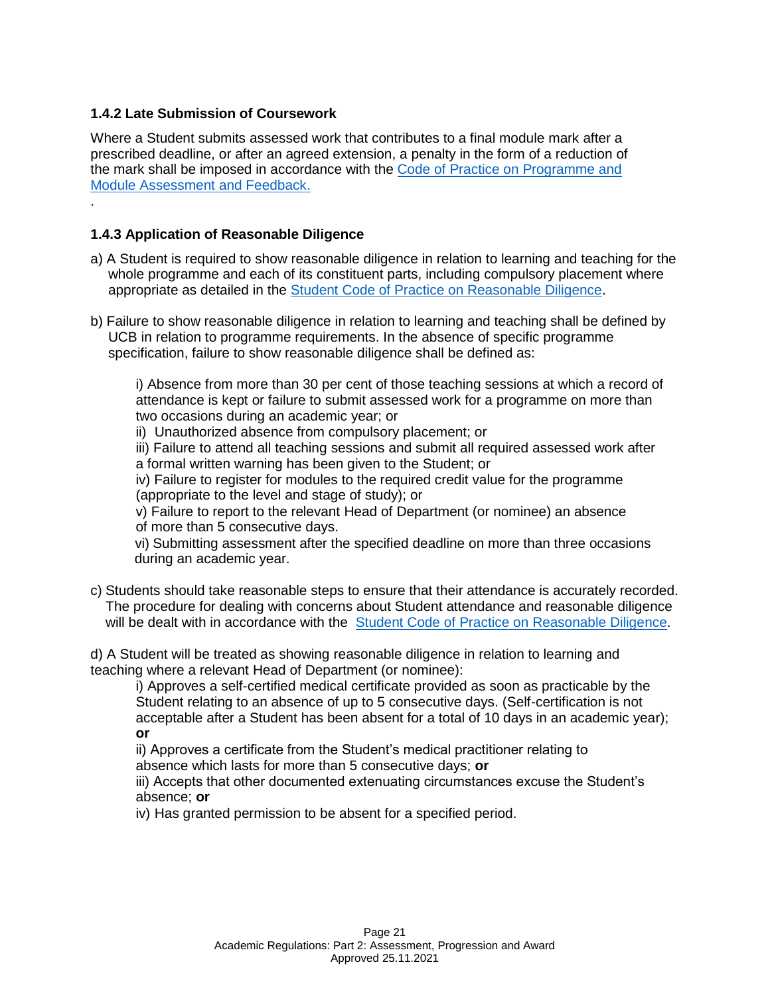### **1.4.2 Late Submission of Coursework**

Where a Student submits assessed work that contributes to a final module mark after a prescribed deadline, or after an agreed extension, a penalty in the form of a reduction of the mark shall be imposed in accordance with the [Code of Practice on Programme and](https://www.ucb.ac.uk/media/hunnlfdt/cop-taught-prog-module-assessment-and-feedback.pdf)  [Module Assessment and Feedback.](https://www.ucb.ac.uk/media/hunnlfdt/cop-taught-prog-module-assessment-and-feedback.pdf) .

# **1.4.3 Application of Reasonable Diligence**

- a) A Student is required to show reasonable diligence in relation to learning and teaching for the whole programme and each of its constituent parts, including compulsory placement where appropriate as detailed in the [Student Code of Practice on Reasonable Diligence.](https://www.ucb.ac.uk/media/4ecbsbqj/student-code-of-practice-on-reasonable-diligence.pdf)
- b) Failure to show reasonable diligence in relation to learning and teaching shall be defined by UCB in relation to programme requirements. In the absence of specific programme specification, failure to show reasonable diligence shall be defined as:

i) Absence from more than 30 per cent of those teaching sessions at which a record of attendance is kept or failure to submit assessed work for a programme on more than two occasions during an academic year; or

ii) Unauthorized absence from compulsory placement; or

iii) Failure to attend all teaching sessions and submit all required assessed work after a formal written warning has been given to the Student; or

iv) Failure to register for modules to the required credit value for the programme (appropriate to the level and stage of study); or

v) Failure to report to the relevant Head of Department (or nominee) an absence of more than 5 consecutive days.

vi) Submitting assessment after the specified deadline on more than three occasions during an academic year.

c) Students should take reasonable steps to ensure that their attendance is accurately recorded. The procedure for dealing with concerns about Student attendance and reasonable diligence will be dealt with in accordance with the [Student Code of Practice on Reasonable Diligence.](https://www.ucb.ac.uk/media/4ecbsbqj/student-code-of-practice-on-reasonable-diligence.pdf)

d) A Student will be treated as showing reasonable diligence in relation to learning and teaching where a relevant Head of Department (or nominee):

i) Approves a self-certified medical certificate provided as soon as practicable by the Student relating to an absence of up to 5 consecutive days. (Self-certification is not acceptable after a Student has been absent for a total of 10 days in an academic year); **or**

ii) Approves a certificate from the Student's medical practitioner relating to absence which lasts for more than 5 consecutive days; **or**

iii) Accepts that other documented extenuating circumstances excuse the Student's absence; **or**

iv) Has granted permission to be absent for a specified period.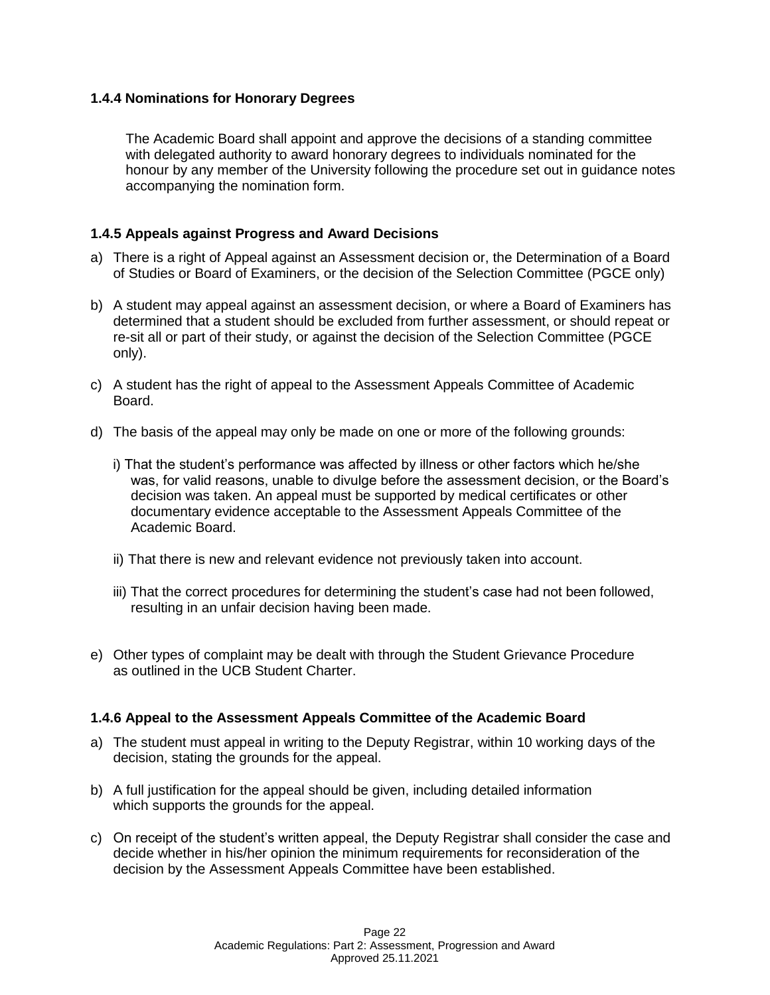### **1.4.4 Nominations for Honorary Degrees**

The Academic Board shall appoint and approve the decisions of a standing committee with delegated authority to award honorary degrees to individuals nominated for the honour by any member of the University following the procedure set out in guidance notes accompanying the nomination form.

### **1.4.5 Appeals against Progress and Award Decisions**

- a) There is a right of Appeal against an Assessment decision or, the Determination of a Board of Studies or Board of Examiners, or the decision of the Selection Committee (PGCE only)
- b) A student may appeal against an assessment decision, or where a Board of Examiners has determined that a student should be excluded from further assessment, or should repeat or re-sit all or part of their study, or against the decision of the Selection Committee (PGCE only).
- c) A student has the right of appeal to the Assessment Appeals Committee of Academic Board.
- d) The basis of the appeal may only be made on one or more of the following grounds:
	- i) That the student's performance was affected by illness or other factors which he/she was, for valid reasons, unable to divulge before the assessment decision, or the Board's decision was taken. An appeal must be supported by medical certificates or other documentary evidence acceptable to the Assessment Appeals Committee of the Academic Board.
	- ii) That there is new and relevant evidence not previously taken into account.
	- iii) That the correct procedures for determining the student's case had not been followed, resulting in an unfair decision having been made.
- e) Other types of complaint may be dealt with through the Student Grievance Procedure as outlined in the UCB Student Charter.

#### **1.4.6 Appeal to the Assessment Appeals Committee of the Academic Board**

- a) The student must appeal in writing to the Deputy Registrar, within 10 working days of the decision, stating the grounds for the appeal.
- b) A full justification for the appeal should be given, including detailed information which supports the grounds for the appeal.
- c) On receipt of the student's written appeal, the Deputy Registrar shall consider the case and decide whether in his/her opinion the minimum requirements for reconsideration of the decision by the Assessment Appeals Committee have been established.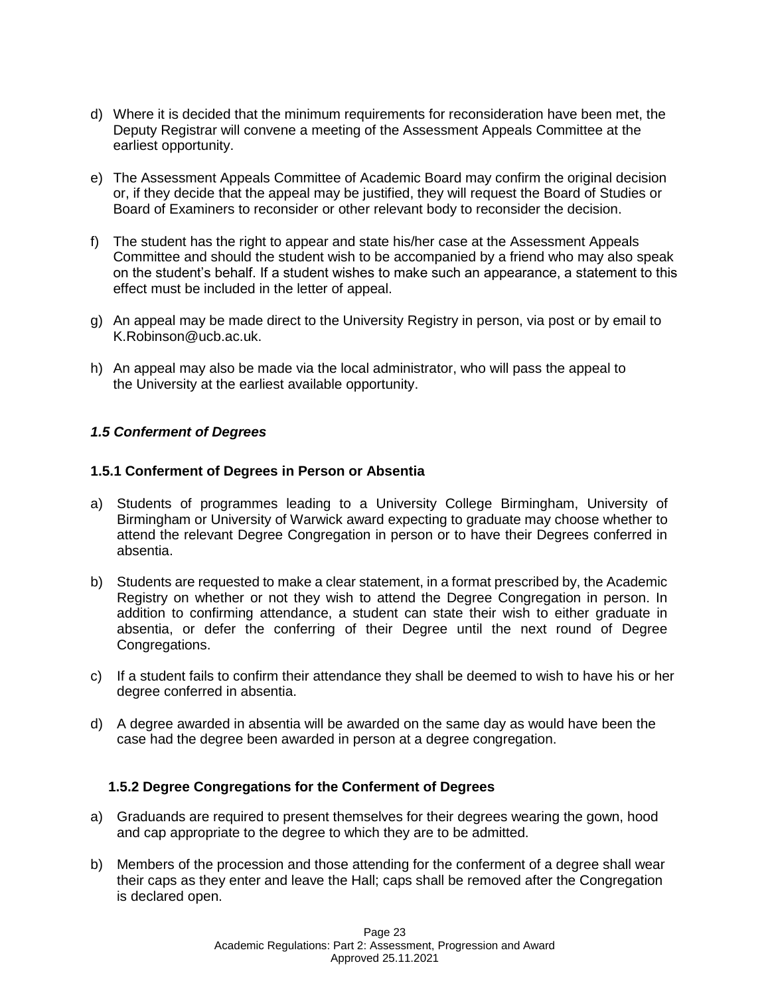- d) Where it is decided that the minimum requirements for reconsideration have been met, the Deputy Registrar will convene a meeting of the Assessment Appeals Committee at the earliest opportunity.
- e) The Assessment Appeals Committee of Academic Board may confirm the original decision or, if they decide that the appeal may be justified, they will request the Board of Studies or Board of Examiners to reconsider or other relevant body to reconsider the decision.
- f) The student has the right to appear and state his/her case at the Assessment Appeals Committee and should the student wish to be accompanied by a friend who may also speak on the student's behalf. If a student wishes to make such an appearance, a statement to this effect must be included in the letter of appeal.
- g) An appeal may be made direct to the University Registry in person, via post or by email to K.Robinson@ucb.ac.uk.
- h) An appeal may also be made via the local administrator, who will pass the appeal to the University at the earliest available opportunity.

### *1.5 Conferment of Degrees*

### **1.5.1 Conferment of Degrees in Person or Absentia**

- a) Students of programmes leading to a University College Birmingham, University of Birmingham or University of Warwick award expecting to graduate may choose whether to attend the relevant Degree Congregation in person or to have their Degrees conferred in absentia.
- b) Students are requested to make a clear statement, in a format prescribed by, the Academic Registry on whether or not they wish to attend the Degree Congregation in person. In addition to confirming attendance, a student can state their wish to either graduate in absentia, or defer the conferring of their Degree until the next round of Degree Congregations.
- c) If a student fails to confirm their attendance they shall be deemed to wish to have his or her degree conferred in absentia.
- d) A degree awarded in absentia will be awarded on the same day as would have been the case had the degree been awarded in person at a degree congregation.

#### **1.5.2 Degree Congregations for the Conferment of Degrees**

- a) Graduands are required to present themselves for their degrees wearing the gown, hood and cap appropriate to the degree to which they are to be admitted.
- b) Members of the procession and those attending for the conferment of a degree shall wear their caps as they enter and leave the Hall; caps shall be removed after the Congregation is declared open.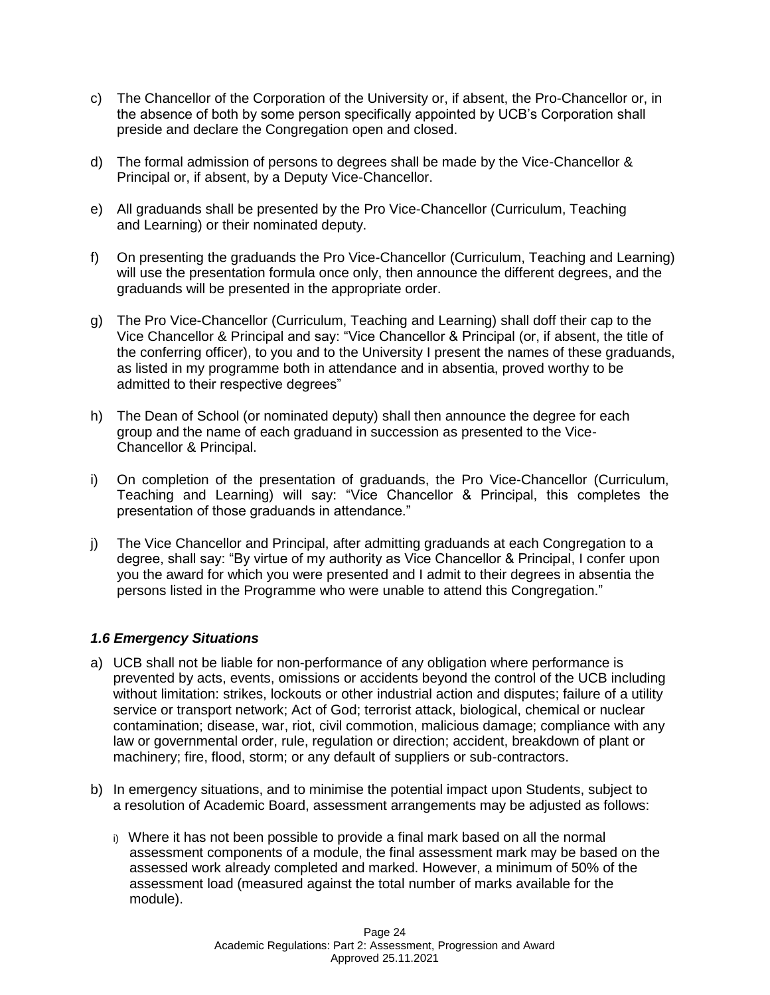- c) The Chancellor of the Corporation of the University or, if absent, the Pro-Chancellor or, in the absence of both by some person specifically appointed by UCB's Corporation shall preside and declare the Congregation open and closed.
- d) The formal admission of persons to degrees shall be made by the Vice-Chancellor & Principal or, if absent, by a Deputy Vice-Chancellor.
- e) All graduands shall be presented by the Pro Vice-Chancellor (Curriculum, Teaching and Learning) or their nominated deputy.
- f) On presenting the graduands the Pro Vice-Chancellor (Curriculum, Teaching and Learning) will use the presentation formula once only, then announce the different degrees, and the graduands will be presented in the appropriate order.
- g) The Pro Vice-Chancellor (Curriculum, Teaching and Learning) shall doff their cap to the Vice Chancellor & Principal and say: "Vice Chancellor & Principal (or, if absent, the title of the conferring officer), to you and to the University I present the names of these graduands, as listed in my programme both in attendance and in absentia, proved worthy to be admitted to their respective degrees"
- h) The Dean of School (or nominated deputy) shall then announce the degree for each group and the name of each graduand in succession as presented to the Vice-Chancellor & Principal.
- i) On completion of the presentation of graduands, the Pro Vice-Chancellor (Curriculum, Teaching and Learning) will say: "Vice Chancellor & Principal, this completes the presentation of those graduands in attendance."
- j) The Vice Chancellor and Principal, after admitting graduands at each Congregation to a degree, shall say: "By virtue of my authority as Vice Chancellor & Principal, I confer upon you the award for which you were presented and I admit to their degrees in absentia the persons listed in the Programme who were unable to attend this Congregation."

### *1.6 Emergency Situations*

- a) UCB shall not be liable for non-performance of any obligation where performance is prevented by acts, events, omissions or accidents beyond the control of the UCB including without limitation: strikes, lockouts or other industrial action and disputes; failure of a utility service or transport network; Act of God; terrorist attack, biological, chemical or nuclear contamination; disease, war, riot, civil commotion, malicious damage; compliance with any law or governmental order, rule, regulation or direction; accident, breakdown of plant or machinery; fire, flood, storm; or any default of suppliers or sub-contractors.
- b) In emergency situations, and to minimise the potential impact upon Students, subject to a resolution of Academic Board, assessment arrangements may be adjusted as follows:
	- i) Where it has not been possible to provide a final mark based on all the normal assessment components of a module, the final assessment mark may be based on the assessed work already completed and marked. However, a minimum of 50% of the assessment load (measured against the total number of marks available for the module).